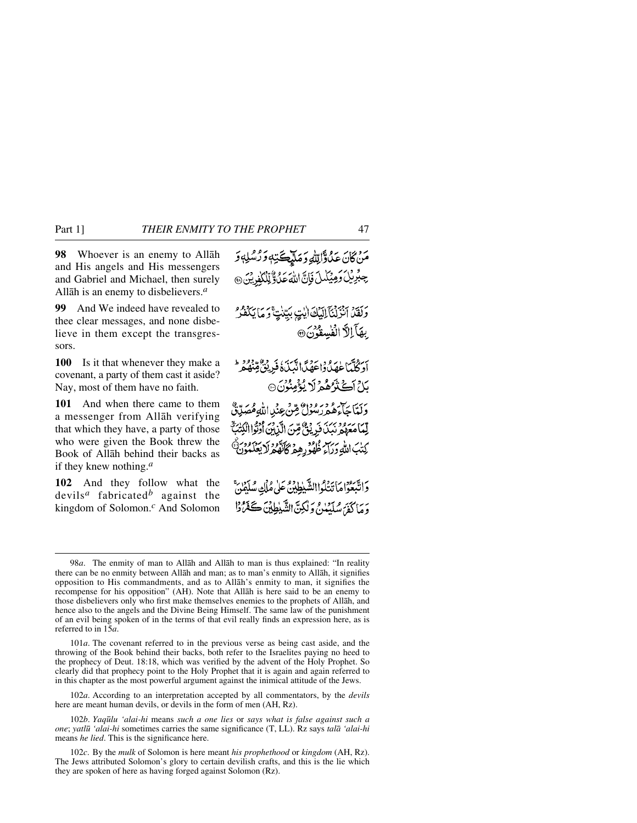**98** Whoever is an enemy to Allåh and His angels and His messengers and Gabriel and Michael, then surely Allåh is an enemy to disbelievers.*<sup>a</sup>*

**99** And We indeed have revealed to thee clear messages, and none disbelieve in them except the transgressors.

**100** Is it that whenever they make a covenant, a party of them cast it aside? Nay, most of them have no faith.

**101** And when there came to them a messenger from Allåh verifying that which they have, a party of those who were given the Book threw the Book of Allåh behind their backs as if they knew nothing.*<sup>a</sup>*

**102** And they follow what the devils*<sup>a</sup>* fabricated*<sup>b</sup>* against the kingdom of Solomon.*<sup>c</sup>* And Solomon

مَنْ كَانَ عَدْوَّاتِلْهِ وَمَلَيْكَتِهِ وَدْشْلِهِ وَ جِبْرِيْلُ وَمِيْكُمِلَ فَإِنَّ اللَّهَ عَلَى وَلَّذَلِّكُمْ بَنَ @ رَبِّهِ بِبِهِ بِهِ الْمَلْكَ الِّتِي بِيِّنْتٍ وَمَا يَكْفُرُ بِهَآ الرَّا الْفُسِقُونَ @ أَدَكْتَبَاطِهَدُ دَاءَهُمَّانَ تَتَبَدَّ ذَرِيْنَ قِنْهُمْ مِنْ بَاحِ أَڪَثَرُهُمْ لَا يُؤْمِنُونَ۞ وَلَّتَاجَاءَهُ هُ رَسُوْلُ مِّنْ عِنْدِاللَّهِ هُصَدِّقٌ لِّمَا مَعَهُمْ نَبِّنَ فَرِيْتٍ ۢ مِّنَ الَّذِينَ أَرْثَوْا الْكِتَبَ ۗ كتاب اللهِ وَرَاءِ ظُهُوَ رِهِيمَ كَانَّهُ وَلَا يَعْلَمُونَ وَاتَّبِعُوْاهَاتَتَلُواالشَّيْطِينَ عَلَى مُلْكِ سُلَيْمَنَّ دَ مَا كَفِرَ سَلَّسْلِنَّ وَلَٰكِنَّ الشَّيْطِينَ كَفَرَّدُوْا

102*a*. According to an interpretation accepted by all commentators, by the *devils* here are meant human devils, or devils in the form of men (AH, Rz).

<sup>98</sup>*a*. The enmity of man to Allåh and Allåh to man is thus explained: "In reality there can be no enmity between Allåh and man; as to man's enmity to Allåh, it signifies opposition to His commandments, and as to Allåh's enmity to man, it signifies the recompense for his opposition" (AH). Note that Allåh is here said to be an enemy to those disbelievers only who first make themselves enemies to the prophets of Allåh, and hence also to the angels and the Divine Being Himself. The same law of the punishment of an evil being spoken of in the terms of that evil really finds an expression here, as is referred to in 15*a*.

<sup>101</sup>*a*. The covenant referred to in the previous verse as being cast aside, and the throwing of the Book behind their backs, both refer to the Israelites paying no heed to the prophecy of Deut. 18:18, which was verified by the advent of the Holy Prophet. So clearly did that prophecy point to the Holy Prophet that it is again and again referred to in this chapter as the most powerful argument against the inimical attitude of the Jews.

<sup>102</sup>*b*. *Yaq∂lu 'alai-hi* means *such a one lies* or *says what is false against such a one*; *yatl∂ 'alai-hi* sometimes carries the same significance (T, LL). Rz says *talå 'alai-hi* means *he lied*. This is the significance here.

<sup>102</sup>*c*. By the *mulk* of Solomon is here meant *his prophethood* or *kingdom* (AH, Rz). The Jews attributed Solomon's glory to certain devilish crafts, and this is the lie which they are spoken of here as having forged against Solomon (Rz).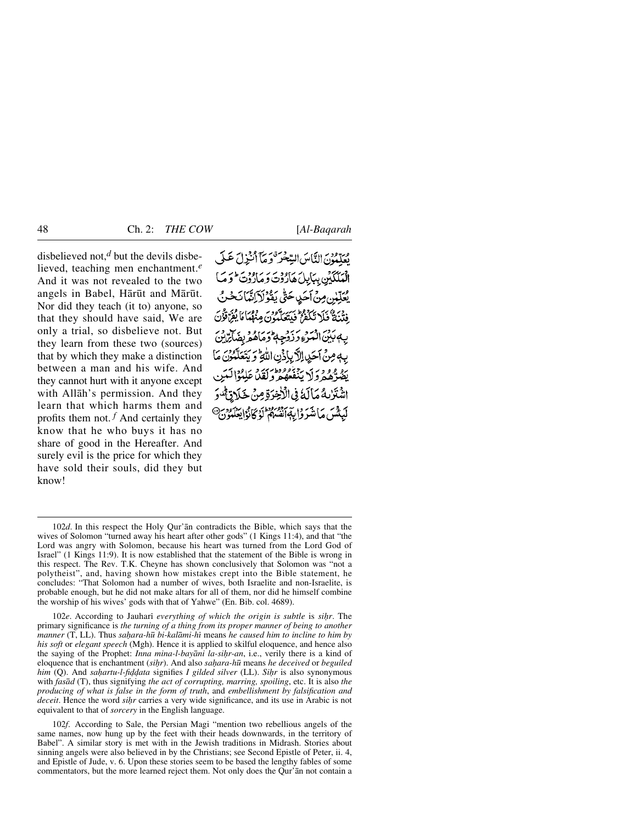disbelieved not,*<sup>d</sup>* but the devils disbelieved, teaching men enchantment.*<sup>e</sup>* And it was not revealed to the two angels in Babel, Hārūt and Mārūt. Nor did they teach (it to) anyone, so that they should have said, We are only a trial, so disbelieve not. But they learn from these two (sources) that by which they make a distinction between a man and his wife. And they cannot hurt with it anyone except with Allåh's permission. And they learn that which harms them and profits them not.  $f$  And certainly they know that he who buys it has no share of good in the Hereafter. And surely evil is the price for which they have sold their souls, did they but know!

مِهِ وَمِنْ النَّاسَ السَّعْبَرَ وَ مَآ أَنْبَرْلَ عَـلَى الْعَلَّكَيْنِ بِبَايِلَ هَارُدْتَ وَ مَارُدُتَ ۖ وَ مَا بْعَلْنِينِ مِنْ أَجَيْدِ حَتَّى بَعْدُ لَيْ إِنَّبَانَجُينَ ووسر مقطعاً مَا يُفِرَّدْؤُدَي بِهِ بَدْنَ الْبَيْرَءِ دَ ذَوْحِيطُ دَ مَاهُهُ ۚ بِفَ بِهِ مِنْ أَحَدِ الْآَيِينَ اللَّهِ ۚ وَ يَتَعَلَّمُوْنَ مَا ره و و براي بروده دارس د<br>بفتره د وار بنفعه و لقداء اشْتَرْبِهُ مَالَهُ فِي الْأَخِرَةِ مِنْ لْبَشْنَ مَأْشَرَوْا بِبَهَا َقْسُرْ وَالْمَجَانَوْ كَانْوَابِعَ

102*f*. According to Sale, the Persian Magi "mention two rebellious angels of the same names, now hung up by the feet with their heads downwards, in the territory of Babel". A similar story is met with in the Jewish traditions in Midrash. Stories about sinning angels were also believed in by the Christians; see Second Epistle of Peter, ii. 4, and Epistle of Jude, v. 6. Upon these stories seem to be based the lengthy fables of some commentators, but the more learned reject them. Not only does the Qur'ån not contain a

<sup>102</sup>*d*. In this respect the Holy Qur'ån contradicts the Bible, which says that the wives of Solomon "turned away his heart after other gods" (1 Kings 11:4), and that "the Lord was angry with Solomon, because his heart was turned from the Lord God of Israel" (1 Kings 11:9). It is now established that the statement of the Bible is wrong in this respect. The Rev. T.K. Cheyne has shown conclusively that Solomon was "not a polytheist", and, having shown how mistakes crept into the Bible statement, he concludes: "That Solomon had a number of wives, both Israelite and non-Israelite, is probable enough, but he did not make altars for all of them, nor did he himself combine the worship of his wives' gods with that of Yahwe" (En. Bib. col. 4689).

<sup>102</sup>*e*. According to Jauhari *everything of which the origin is subtle* is *sihr*. The primary significance is *the turning of a thing from its proper manner of being to another manner* (T, LL). Thus *sahara-hū bi-kalāmi-hī* means *he caused him to incline to him by his soft* or *elegant speech* (Mgh). Hence it is applied to skilful eloquence, and hence also the saying of the Prophet: *Inna mina-l-bayāni la-siḥr-an*, i.e., verily there is a kind of eloquence that is enchantment (*si√r*). And also *sa√ara-h∂* means *he deceived* or *beguiled him* (Q). And *sahartu-l-fiddata* signifies *I gilded silver* (LL). *Sihr* is also synonymous with *fasåd* (T), thus signifying *the act of corrupting, marring, spoiling*, etc. It is also *the producing of what is false in the form of truth*, and *embellishment by falsification and deceit*. Hence the word *sihr* carries a very wide significance, and its use in Arabic is not equivalent to that of *sorcery* in the English language.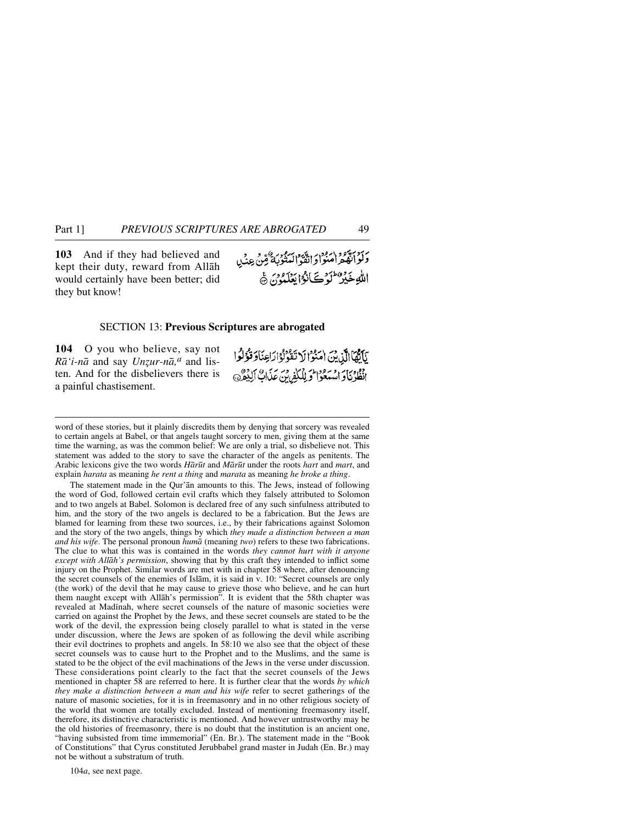**103** And if they had believed and kept their duty, reward from Allåh would certainly have been better; did they but know!

بر دسود ۱۰۹۰ در دسود ۱۰۹۰ م.<br>وکوانفگرامنوادانقوالینوبه قرین عِنبا اللَّهِ خَيْرٌ عَلَمٍ كَانَوْا يَعْلَمُونَ ﴾

#### SECTION 13: **Previous Scriptures are abrogated**

**104** O you who believe, say not  $R\bar{a}$ '*i*-*n* $\bar{a}$  and say *Unzur-n* $\bar{a}$ <sup>*a*</sup> and listen. And for the disbelievers there is a painful chastisement.

يَأَيُّهَا الَّذِينَ امَنُوا لَا تَقُولُوْا رَاعِنَا وَقُوْلُوا فَقَدْنَاوَ اسْتَعْوَا وَ لِلْكَفِرِينِ عَدَابٌ إِلَيْمُرِ

word of these stories, but it plainly discredits them by denying that sorcery was revealed to certain angels at Babel, or that angels taught sorcery to men, giving them at the same time the warning, as was the common belief: We are only a trial, so disbelieve not. This statement was added to the story to save the character of the angels as penitents. The Arabic lexicons give the two words *Hår∂t* and *Mår∂t* under the roots *hart* and *mart*, and explain *harata* as meaning *he rent a thing* and *marata* as meaning *he broke a thing*.

The statement made in the Qur'ån amounts to this. The Jews, instead of following the word of God, followed certain evil crafts which they falsely attributed to Solomon and to two angels at Babel. Solomon is declared free of any such sinfulness attributed to him, and the story of the two angels is declared to be a fabrication. But the Jews are blamed for learning from these two sources, i.e., by their fabrications against Solomon and the story of the two angels, things by which *they made a distinction between a man and his wife*. The personal pronoun *humå* (meaning *two*) refers to these two fabrications. The clue to what this was is contained in the words *they cannot hurt with it anyone except with Allåh's permission*, showing that by this craft they intended to inflict some injury on the Prophet. Similar words are met with in chapter 58 where, after denouncing the secret counsels of the enemies of Islåm, it is said in v. 10: "Secret counsels are only (the work) of the devil that he may cause to grieve those who believe, and he can hurt them naught except with Allåh's permission". It is evident that the 58th chapter was revealed at Madinah, where secret counsels of the nature of masonic societies were carried on against the Prophet by the Jews, and these secret counsels are stated to be the work of the devil, the expression being closely parallel to what is stated in the verse under discussion, where the Jews are spoken of as following the devil while ascribing their evil doctrines to prophets and angels. In 58:10 we also see that the object of these secret counsels was to cause hurt to the Prophet and to the Muslims, and the same is stated to be the object of the evil machinations of the Jews in the verse under discussion. These considerations point clearly to the fact that the secret counsels of the Jews mentioned in chapter 58 are referred to here. It is further clear that the words *by which they make a distinction between a man and his wife* refer to secret gatherings of the nature of masonic societies, for it is in freemasonry and in no other religious society of the world that women are totally excluded. Instead of mentioning freemasonry itself, therefore, its distinctive characteristic is mentioned. And however untrustworthy may be the old histories of freemasonry, there is no doubt that the institution is an ancient one, "having subsisted from time immemorial" (En. Br.). The statement made in the "Book of Constitutions" that Cyrus constituted Jerubbabel grand master in Judah (En. Br.) may not be without a substratum of truth.

104*a*, see next page.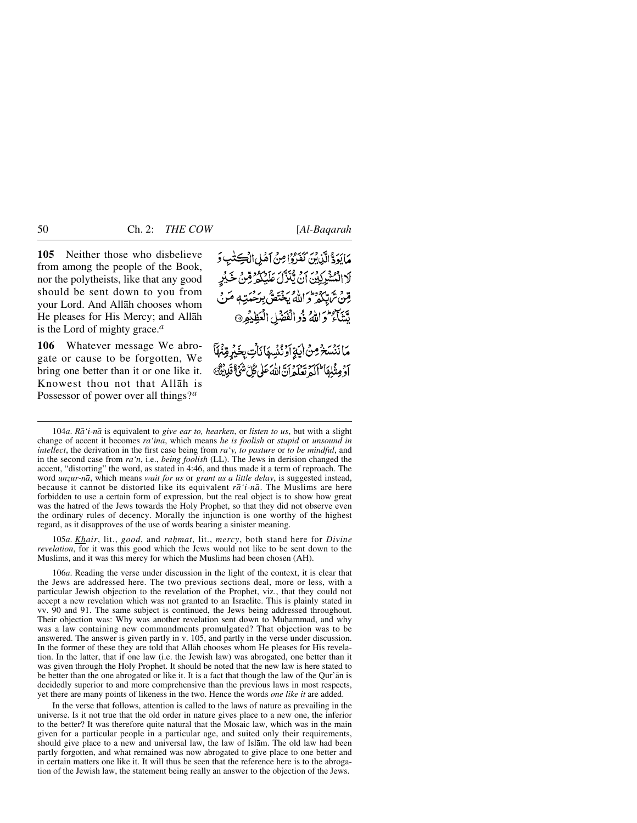**105** Neither those who disbelieve from among the people of the Book, nor the polytheists, like that any good should be sent down to you from your Lord. And Allåh chooses whom He pleases for His Mercy; and Allåh is the Lord of mighty grace.*<sup>a</sup>*

**106** Whatever message We abrogate or cause to be forgotten, We bring one better than it or one like it. Knowest thou not that Allåh is Possessor of power over all things?*<sup>a</sup>*

مَايَوَدٌّ الَّذِينَ كَفَرُوْا مِنْ أَهْلِ الْكِتُبِ وَ لَا الْمُشْرِكِيْنَ أَنْ تَنْزَلْ عَلَيْكُمْ قِبْنُ خَيْرِ قِينْ تَرْتَبِطُوطُن لِلْمُ يَخْتَصُّ بِدَحْمَتِهِ مَرَبٍّ مِّشَاءٌ وَاللَّهُ ذُوالَفَصَلِ الْعَظِيْمِرِ۞

مَا نَنْسَخْ مِنْ أَيَةِ آَوْ نُنُسِهَا نَأْتِ بِخَبْرِ قِنْهَآ أَوْمِثْلِهَا الْكَرْتَعْلَمُ إِنَّ اللَّهَ عَلَى كُلِّ شَيْءٌ قَلِينٌ

105*a*. *Khair*, lit., *good*, and *rahmat*, lit., *mercy*, both stand here for *Divine revelation*, for it was this good which the Jews would not like to be sent down to the Muslims, and it was this mercy for which the Muslims had been chosen (AH).

106*a*. Reading the verse under discussion in the light of the context, it is clear that the Jews are addressed here. The two previous sections deal, more or less, with a particular Jewish objection to the revelation of the Prophet, viz., that they could not accept a new revelation which was not granted to an Israelite. This is plainly stated in vv. 90 and 91. The same subject is continued, the Jews being addressed throughout. Their objection was: Why was another revelation sent down to Muhammad, and why was a law containing new commandments promulgated? That objection was to be answered. The answer is given partly in v. 105, and partly in the verse under discussion. In the former of these they are told that Allåh chooses whom He pleases for His revelation. In the latter, that if one law (i.e. the Jewish law) was abrogated, one better than it was given through the Holy Prophet. It should be noted that the new law is here stated to be better than the one abrogated or like it. It is a fact that though the law of the Qur'ån is decidedly superior to and more comprehensive than the previous laws in most respects, yet there are many points of likeness in the two. Hence the words *one like it* are added.

In the verse that follows, attention is called to the laws of nature as prevailing in the universe. Is it not true that the old order in nature gives place to a new one, the inferior to the better? It was therefore quite natural that the Mosaic law, which was in the main given for a particular people in a particular age, and suited only their requirements, should give place to a new and universal law, the law of Islåm. The old law had been partly forgotten, and what remained was now abrogated to give place to one better and in certain matters one like it. It will thus be seen that the reference here is to the abrogation of the Jewish law, the statement being really an answer to the objection of the Jews.

<sup>104</sup>*a*. *Rå'i-nå* is equivalent to *give ear to, hearken*, or *listen to us*, but with a slight change of accent it becomes *ra'ina*, which means *he is foolish* or *stupid* or *unsound in intellect*, the derivation in the first case being from *ra'y, to pasture* or *to be mindful*, and in the second case from *ra'n*, i.e., *being foolish* (LL). The Jews in derision changed the accent, "distorting" the word, as stated in 4:46, and thus made it a term of reproach. The word *unzur-nā*, which means *wait for us* or *grant us a little delay*, is suggested instead, because it cannot be distorted like its equivalent *rå'i-nå*. The Muslims are here forbidden to use a certain form of expression, but the real object is to show how great was the hatred of the Jews towards the Holy Prophet, so that they did not observe even the ordinary rules of decency. Morally the injunction is one worthy of the highest regard, as it disapproves of the use of words bearing a sinister meaning.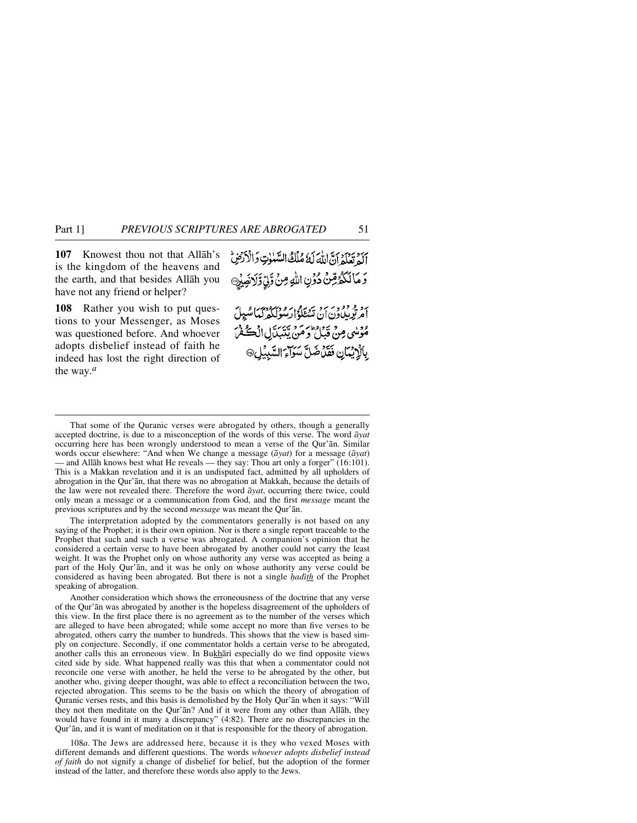**107** Knowest thou not that Allåh's is the kingdom of the heavens and the earth, and that besides Allåh you have not any friend or helper?

**108** Rather you wish to put questions to your Messenger, as Moses was questioned before. And whoever adopts disbelief instead of faith he indeed has lost the right direction of the way.*<sup>a</sup>*

بَرَدَ بِرَدَمَ إِنَّ اللَّهَ لَهُ مُلْكُ السَّلَوٰتِ وَالْأَرْضِ وَ مَا لَكُمُ قِنْ دُوْنِ اللهِ مِنْ وَّلِيِّ وَلاَنْصِيْرِ @ ام توپیاون آن شیخگوار موسم دیگرای شیبل مُؤْلِسٍ مِنْ قَبْلُ وَمَنْ يَتَبَدَّلِ الْكُفْنَ بِالْإِيْمَانِ فَقَدْ ضَلَّ سَوَاءَ السَّبِيْلِ۞

The interpretation adopted by the commentators generally is not based on any saying of the Prophet; it is their own opinion. Nor is there a single report traceable to the Prophet that such and such a verse was abrogated. A companion's opinion that he considered a certain verse to have been abrogated by another could not carry the least weight. It was the Prophet only on whose authority any verse was accepted as being a part of the Holy Qur'ån, and it was he only on whose authority any verse could be considered as having been abrogated. But there is not a single *hadith* of the Prophet speaking of abrogation.

Another consideration which shows the erroneousness of the doctrine that any verse of the Qur'ån was abrogated by another is the hopeless disagreement of the upholders of this view. In the first place there is no agreement as to the number of the verses which are alleged to have been abrogated; while some accept no more than five verses to be abrogated, others carry the number to hundreds. This shows that the view is based simply on conjecture. Secondly, if one commentator holds a certain verse to be abrogated, another calls this an erroneous view. In Bukhārī especially do we find opposite views cited side by side. What happened really was this that when a commentator could not reconcile one verse with another, he held the verse to be abrogated by the other, but another who, giving deeper thought, was able to effect a reconciliation between the two, rejected abrogation. This seems to be the basis on which the theory of abrogation of Quranic verses rests, and this basis is demolished by the Holy Qur'ån when it says: "Will they not then meditate on the Qur'ån? And if it were from any other than Allåh, they would have found in it many a discrepancy" (4:82). There are no discrepancies in the Qur'ån, and it is want of meditation on it that is responsible for the theory of abrogation.

108*a*. The Jews are addressed here, because it is they who vexed Moses with different demands and different questions. The words *whoever adopts disbelief instead of faith* do not signify a change of disbelief for belief, but the adoption of the former instead of the latter, and therefore these words also apply to the Jews.

That some of the Quranic verses were abrogated by others, though a generally accepted doctrine, is due to a misconception of the words of this verse. The word *åyat* occurring here has been wrongly understood to mean a verse of the Qur'ån. Similar words occur elsewhere: "And when We change a message (*åyat*) for a message (*åyat*) — and Allåh knows best what He reveals — they say: Thou art only a forger" (16:101). This is a Makkan revelation and it is an undisputed fact, admitted by all upholders of abrogation in the Qur'ån, that there was no abrogation at Makkah, because the details of the law were not revealed there. Therefore the word *åyat*, occurring there twice, could only mean a message or a communication from God, and the first *message* meant the previous scriptures and by the second *message* was meant the Qur'ån.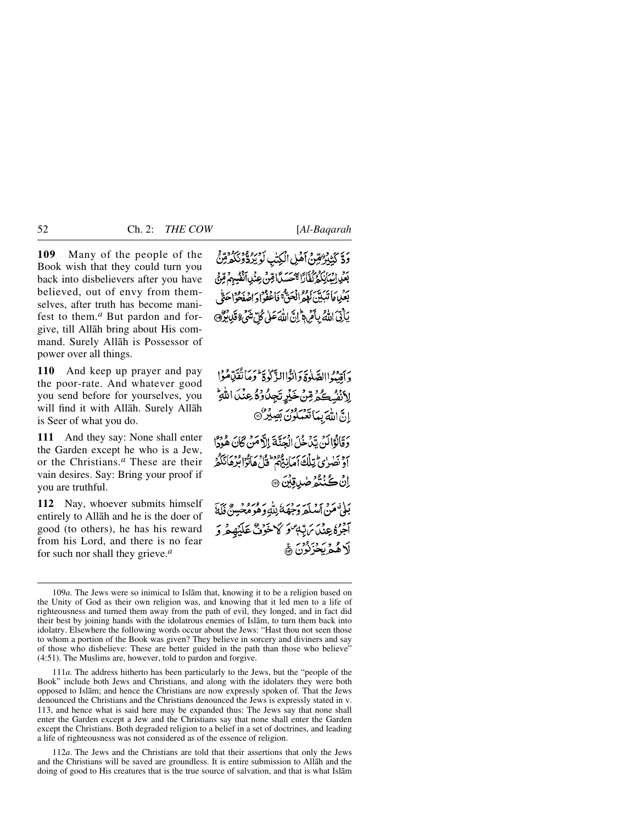**109** Many of the people of the Book wish that they could turn you back into disbelievers after you have believed, out of envy from themselves, after truth has become manifest to them.*<sup>a</sup>* But pardon and forgive, till Allåh bring about His command. Surely Allåh is Possessor of power over all things.

**110** And keep up prayer and pay the poor-rate. And whatever good you send before for yourselves, you will find it with Allåh. Surely Allåh is Seer of what you do.

**111** And they say: None shall enter the Garden except he who is a Jew, or the Christians.*<sup>a</sup>* These are their vain desires. Say: Bring your proof if you are truthful.

**112** Nay, whoever submits himself entirely to Allåh and he is the doer of good (to others), he has his reward from his Lord, and there is no fear for such nor shall they grieve.*<sup>a</sup>*

وَدَّ كَتْنَزْ ُقِينَ أَهْلِ الْكِتْبِ أَوْرِهِ وَدِرَدَّةً وَتَكَدَّمِّنَّ بَعْيَا إِنَّهَانَكُمْ كُفَّارًا حَسَيْدًا قِنْ عِنْدِ ٱنْفُسِهِمْ قِنْ ُ بِعَلِيمَا تَبَيِّينَ لَهُمُّ انْحَتَّ ۚ فَاعْفُوا وَ اصْفَحُواْ حَقٌّ يَأْتِيَ اللَّهُ بِأَمْ دَلَّ إِنَّ اللَّهَ عَلَى كُلَّ شَيْءٍ قَلْإِنَّكُو ﴾

رِبِيْدُ الصَّلْوَةَ وَانْزَاالزَّلْوَةَ وَمَاتَّقَدِّامُوْا الأنفُسِكُمُ قِنْ خَيْرِ تَجِلُّ وُهُ عِنْدَ اللَّهِ إِنَّ اللَّهَ بِمَا تَعْمَلُونَ بَصِيْرٌ مَنْ وَقَالُوْالَنُ يَدَٰخُلَ الْجَنَّةَ إِلاَّ مَنْ كَانَ هُوْدًا أَوْ نَصْرُى تِلْكَ أَمَانِيٌّهُمْ ۚ قُلْ هَانُوًّا بُرْهَانَكُمْ اِنْ كُنْتُمُ صٰدِقِيْنَ ۞ بَلْيَ عَنْ امْكَدَ دَجْهَةُ لِلَّهِ وَهُوَ مُعْيَسِيٌّ فَلَةً آخِرُهُ عِنْدَ يَرَبّبُهُ وَكَهُ خَوْنٌ عَلَيْهِ مِرْ وَ لَاهُهُ يَحْزَنُوْنَ ۞

111*a*. The address hitherto has been particularly to the Jews, but the "people of the Book" include both Jews and Christians, and along with the idolaters they were both opposed to Islåm; and hence the Christians are now expressly spoken of. That the Jews denounced the Christians and the Christians denounced the Jews is expressly stated in v. 113, and hence what is said here may be expanded thus: The Jews say that none shall enter the Garden except a Jew and the Christians say that none shall enter the Garden except the Christians. Both degraded religion to a belief in a set of doctrines, and leading a life of righteousness was not considered as of the essence of religion.

112*a*. The Jews and the Christians are told that their assertions that only the Jews and the Christians will be saved are groundless. It is entire submission to Allåh and the doing of good to His creatures that is the true source of salvation, and that is what Islåm

<sup>109</sup>*a*. The Jews were so inimical to Islåm that, knowing it to be a religion based on the Unity of God as their own religion was, and knowing that it led men to a life of righteousness and turned them away from the path of evil, they longed, and in fact did their best by joining hands with the idolatrous enemies of Islåm, to turn them back into idolatry. Elsewhere the following words occur about the Jews: "Hast thou not seen those to whom a portion of the Book was given? They believe in sorcery and diviners and say of those who disbelieve: These are better guided in the path than those who believe" (4:51). The Muslims are, however, told to pardon and forgive.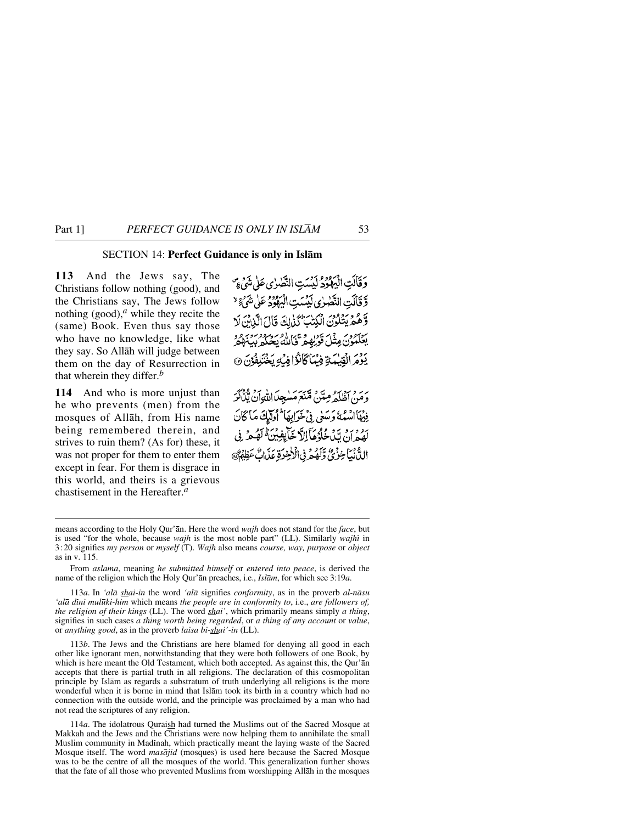# SECTION 14: **Perfect Guidance is only in Islåm**

**113** And the Jews say, The Christians follow nothing (good), and the Christians say, The Jews follow nothing  $(good)$ ,<sup>*a*</sup> while they recite the (same) Book. Even thus say those who have no knowledge, like what they say. So Allåh will judge between them on the day of Resurrection in that wherein they differ.*<sup>b</sup>*

**114** And who is more unjust than he who prevents (men) from the mosques of Allåh, from His name being remembered therein, and strives to ruin them? (As for) these, it was not proper for them to enter them except in fear. For them is disgrace in this world, and theirs is a grievous chastisement in the Hereafter.*<sup>a</sup>*

وَقَالَتِ الْيَهْدُدُ لَيْسَتِ النَّصْرٰى عَلَى شَيْءٍ وَّ قَالَتِ النَّصْرٰى لَيْسَتِ الْيَهْوُدُ عَلَى شَيْءٌ لا وَّهُمَّ يَتَّلُّوْنَ الْكِتْبَ كَذَٰلِكَ قَالَ الَّذِينَ لَا بْعَلْمُوْنَ مِثْلَ قَوْلِهِمْ قَالَلْهُ يَحْكُمْ بِيَبْهِمْ يَوْمَ الْقِيْمَةِ فِيْمَاكَانُوْافِيْكِ يَخْتَلِفُوْنَ ۞

وَمَنْ أَظُلَّهُ مِتَنْ مِّنَعَ مَسْجِدًااللّهِ]نُ يَّنْ كَمَهُ فِيْهَاأْتُسُهُ وَسَعَى فِي خَرَابِهَا ۖ أُولَيْكَ مَا كَانَ رَهُ مِنْ تَدْمَدُهُ مَأَ اللَّا خَيَابِفِينِيَّةُ لَعُبِهِمْ فِي الدُّّنْبَاخِزْيٌّ وَّلَهُمْ فِي الْاخِرَةِ عَذَابٌ عَظِيْنٌ

113*a*. In *'alå shai-in* the word *'alå* signifies *conformity*, as in the proverb *al-nåsu 'alå dßni mul∂ki-him* which means *the people are in conformity to*, i.e., *are followers of, the religion of their kings* (LL). The word *shai'*, which primarily means simply *a thing*, signifies in such cases *a thing worth being regarded*, or *a thing of any account* or *value*, or *anything good*, as in the proverb *laisa bi-shai'-in* (LL).

113*b*. The Jews and the Christians are here blamed for denying all good in each other like ignorant men, notwithstanding that they were both followers of one Book, by which is here meant the Old Testament, which both accepted. As against this, the Qur'ån accepts that there is partial truth in all religions. The declaration of this cosmopolitan principle by Islåm as regards a substratum of truth underlying all religions is the more wonderful when it is borne in mind that Islåm took its birth in a country which had no connection with the outside world, and the principle was proclaimed by a man who had not read the scriptures of any religion.

114*a*. The idolatrous Quraish had turned the Muslims out of the Sacred Mosque at Makkah and the Jews and the Christians were now helping them to annihilate the small Muslim community in Madinah, which practically meant the laying waste of the Sacred Mosque itself. The word *masåjid* (mosques) is used here because the Sacred Mosque was to be the centre of all the mosques of the world. This generalization further shows that the fate of all those who prevented Muslims from worshipping Allåh in the mosques

means according to the Holy Qur'ån. Here the word *wajh* does not stand for the *face*, but is used "for the whole, because *wajh* is the most noble part" (LL). Similarly *wajhi* in 3:20 signifies *my person* or *myself* (T). *Wajh* also means *course, way, purpose* or *object* as in v. 115.

From *aslama*, meaning *he submitted himself* or *entered into peace*, is derived the name of the religion which the Holy Qur'ån preaches, i.e., *Islåm*, for which see 3:19*a*.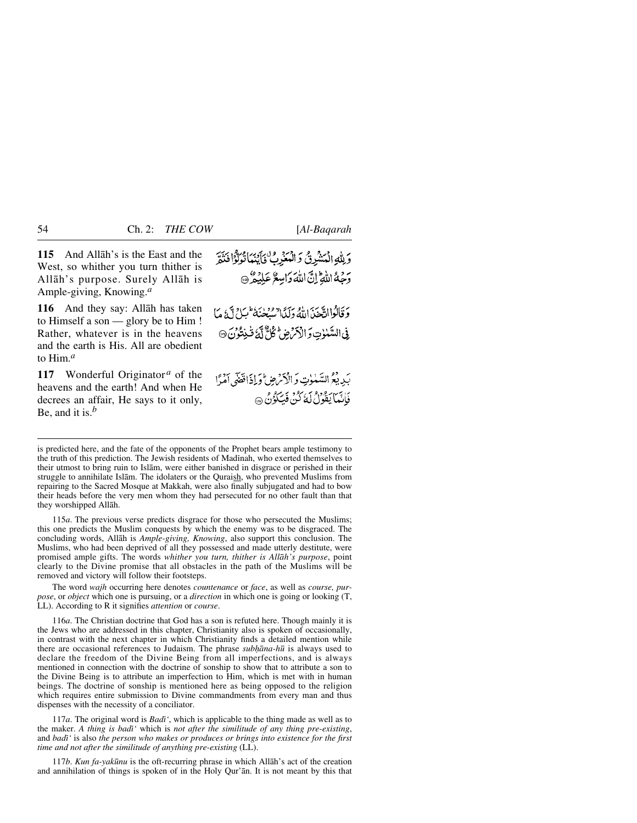**115** And Allåh's is the East and the West, so whither you turn thither is Allåh's purpose. Surely Allåh is Ample-giving, Knowing.*<sup>a</sup>*

**116** And they say: Allåh has taken to Himself a son — glory be to Him ! Rather, whatever is in the heavens and the earth is His. All are obedient to Him.*<sup>a</sup>*

**117** Wonderful Originator<sup>*a*</sup> of the heavens and the earth! And when He decrees an affair, He says to it only, Be, and it is.*<sup>b</sup>*

وَلِلَّهِ الْمَشْرِقُ وَ الْمَغْرِبُّ فَأَيْنَهَا تُوَلَّوْا فَنَمَّ م مع الله إِنَّ اللَّهَ دَامِيعٌ عَلَيْهُ ۞

وَقَالُوْااتَّحْدْ،إِنَّهُ وَلَيْلاً يُسْتَخِيَّةُ كُلُّ أَنَّ ذَلَّا مَا فِي السَّنْزِتِ وَ الْأَمْرَضِ لِمُحَلَّ لَكَ قُنِتُوُنَ @

بَدِ دِمْوَ السَّبْلُوتِ وَالْأَمْرِ صِ أَوَ إِذَاقِقَهُ ۚ أَمْهًا فَأَنَّبَا يَقُولُ لَهُ كُنْ فَيَكُونُ ۞

is predicted here, and the fate of the opponents of the Prophet bears ample testimony to the truth of this prediction. The Jewish residents of Madinah, who exerted themselves to their utmost to bring ruin to Islåm, were either banished in disgrace or perished in their struggle to annihilate Islām. The idolaters or the Quraish, who prevented Muslims from repairing to the Sacred Mosque at Makkah, were also finally subjugated and had to bow their heads before the very men whom they had persecuted for no other fault than that they worshipped Allåh.

115*a*. The previous verse predicts disgrace for those who persecuted the Muslims; this one predicts the Muslim conquests by which the enemy was to be disgraced. The concluding words, Allåh is *Ample-giving, Knowing*, also support this conclusion. The Muslims, who had been deprived of all they possessed and made utterly destitute, were promised ample gifts. The words *whither you turn, thither is Allåh's purpose*, point clearly to the Divine promise that all obstacles in the path of the Muslims will be removed and victory will follow their footsteps.

The word *wajh* occurring here denotes *countenance* or *face*, as well as *course, purpose*, or *object* which one is pursuing, or a *direction* in which one is going or looking (T, LL). According to R it signifies *attention* or *course*.

116*a*. The Christian doctrine that God has a son is refuted here. Though mainly it is the Jews who are addressed in this chapter, Christianity also is spoken of occasionally, in contrast with the next chapter in which Christianity finds a detailed mention while there are occasional references to Judaism. The phrase *sub√åna-h∂* is always used to declare the freedom of the Divine Being from all imperfections, and is always mentioned in connection with the doctrine of sonship to show that to attribute a son to the Divine Being is to attribute an imperfection to Him, which is met with in human beings. The doctrine of sonship is mentioned here as being opposed to the religion which requires entire submission to Divine commandments from every man and thus dispenses with the necessity of a conciliator.

117*a*. The original word is *Badß'*, which is applicable to the thing made as well as to the maker. *A thing is badß'* which is *not after the similitude of any thing pre-existing*, and *badß'* is also *the person who makes or produces or brings into existence for the first time and not after the similitude of anything pre-existing* (LL).

117*b*. *Kun fa-yak∂nu* is the oft-recurring phrase in which Allåh's act of the creation and annihilation of things is spoken of in the Holy Qur'ån. It is not meant by this that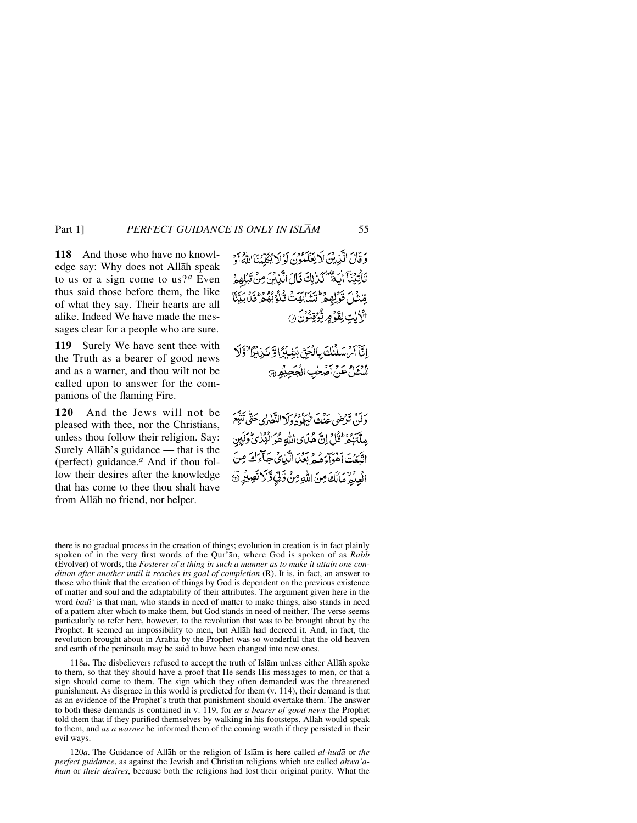**118** And those who have no knowledge say: Why does not Allåh speak to us or a sign come to us?*<sup>a</sup>* Even thus said those before them, the like of what they say. Their hearts are all alike. Indeed We have made the messages clear for a people who are sure.

**119** Surely We have sent thee with the Truth as a bearer of good news and as a warner, and thou wilt not be called upon to answer for the companions of the flaming Fire.

**120** And the Jews will not be pleased with thee, nor the Christians, unless thou follow their religion. Say: Surely Allåh's guidance — that is the (perfect) guidance.*<sup>a</sup>* And if thou follow their desires after the knowledge that has come to thee thou shalt have from Allåh no friend, nor helper.

وَقَالَ الَّذِينَ لَا يَعْلَمُونَ لَوْلَا بُكَلَّدُنَااللَّهُ أَوْ تَأْتِيْنَآ أَيَةٌ لَكُنْ لِكَ قَالَ الَّذِيْنَ مِنْ قَبْلِهِمْ مِّشْلَ قَوْلِهِمْ تَشَابَهَتْ قُلُوْبُهُمْ فَقَلَ بِيِّنَّا الْأَبِٰتِ لِقَوْمٍ يُّؤَذِّنُوْنَ @

إِنَّآ أَمْ سَلَّنَكَ بِالْحَقِّ بَشْكُرًّا وَّ نَبْانُوَّا ۚ وَلَا أَسْئَلُ عَنْ أَصْحٰبِ الْجَحِيْمِرِ ۞

دَ بَنْ نَرْضَى عَنْكَ الْبَهْوَدُولَا النَّصْرٰى حَتَّى نَتَبَعَ ِ مِلَّتَهُمْ ثُلْيٌ إِنَّ هُدَى إِللَّهِ هُوَ الْهُلْايُّ وَلَيِن اتَّبَعۡتَ أَهُوَاءَهُمۡ بَعۡدَىٰالَّيۡنَ مَبَآءَكَ مِنَ الْعِلْمٌ مَالَكَ مِنَ اللَّهِ مِنْ وَّلِيِّ وَّلَا نَصِيْرٍ @

118*a*. The disbelievers refused to accept the truth of Islåm unless either Allåh spoke to them, so that they should have a proof that He sends His messages to men, or that a sign should come to them. The sign which they often demanded was the threatened punishment. As disgrace in this world is predicted for them (v. 114), their demand is that as an evidence of the Prophet's truth that punishment should overtake them. The answer to both these demands is contained in v. 119, for *as a bearer of good news* the Prophet told them that if they purified themselves by walking in his footsteps, Allåh would speak to them, and *as a warner* he informed them of the coming wrath if they persisted in their evil ways.

120*a*. The Guidance of Allåh or the religion of Islåm is here called *al-hudå* or *the perfect guidance*, as against the Jewish and Christian religions which are called *ahwå'ahum* or *their desires*, because both the religions had lost their original purity. What the

there is no gradual process in the creation of things; evolution in creation is in fact plainly spoken of in the very first words of the Qur'ån, where God is spoken of as *Rabb* (Evolver) of words, the *Fosterer of a thing in such a manner as to make it attain one condition after another until it reaches its goal of completion* (R). It is, in fact, an answer to those who think that the creation of things by God is dependent on the previous existence of matter and soul and the adaptability of their attributes. The argument given here in the word *badi'* is that man, who stands in need of matter to make things, also stands in need of a pattern after which to make them, but God stands in need of neither. The verse seems particularly to refer here, however, to the revolution that was to be brought about by the Prophet. It seemed an impossibility to men, but Allåh had decreed it. And, in fact, the revolution brought about in Arabia by the Prophet was so wonderful that the old heaven and earth of the peninsula may be said to have been changed into new ones.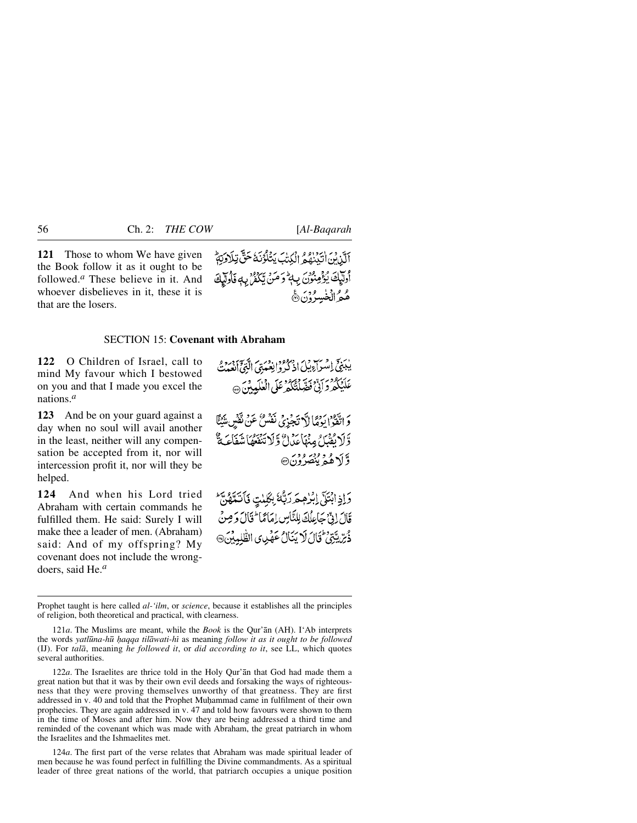**121** Those to whom We have given the Book follow it as it ought to be followed.*<sup>a</sup>* These believe in it. And whoever disbelieves in it, these it is that are the losers.



### SECTION 15: **Covenant with Abraham**

**122** O Children of Israel, call to mind My favour which I bestowed on you and that I made you excel the nations.*<sup>a</sup>*

**123** And be on your guard against a day when no soul will avail another in the least, neither will any compensation be accepted from it, nor will intercession profit it, nor will they be helped.

**124** And when his Lord tried Abraham with certain commands he fulfilled them. He said: Surely I will make thee a leader of men. (Abraham) said: And of my offspring? My covenant does not include the wrongdoers, said He.*<sup>a</sup>*

يْبَنِيِّ اِمْسَرَاءِ بِبْلَ اذْكُرُوْانِعْبَدْتِي الَّذِيِّ بِمِرْدٍ مِنْ عَلَيْكُمْ دَرَبٌّ وَخَدٍّ وَمُحْمَدُ عَلَى الْعَلَيْدِينَ ۞

وَ اتَّقَوْا يَوْمًا لَا تَجْزِيُ نَفْسُنُ عَنْ تَفْسِ يَنْيَنَّا وَّ لَا يُفْيَكُنُّ مِنْهَا عَذَانٌ وَلَا تَنْقَعُهُا شَفَكَ يُنَّ وَأَلَاهُهُ بِنَصَرُونَ۞

وَإِذِابْتَكَى إِبْرٰهِمَرَرَبُّهُ بِكَلِيتٍ فَأَتَتَّهُنَّ قَالَ إِنَّ جَاعِلُكَ لِلنَّاسِ إِمَامًا لَمَّا فَالَ وَصِنْ ذُرِّ يَّتِنْ ثَالَ لَا يَنَالُ عَهْدِى الطَّلِمِيْنَ @

122*a*. The Israelites are thrice told in the Holy Qur'ån that God had made them a great nation but that it was by their own evil deeds and forsaking the ways of righteousness that they were proving themselves unworthy of that greatness. They are first addressed in v. 40 and told that the Prophet Muhammad came in fulfilment of their own prophecies. They are again addressed in v. 47 and told how favours were shown to them in the time of Moses and after him. Now they are being addressed a third time and reminded of the covenant which was made with Abraham, the great patriarch in whom the Israelites and the Ishmaelites met.

124*a*. The first part of the verse relates that Abraham was made spiritual leader of men because he was found perfect in fulfilling the Divine commandments. As a spiritual leader of three great nations of the world, that patriarch occupies a unique position

Prophet taught is here called *al-'ilm*, or *science*, because it establishes all the principles of religion, both theoretical and practical, with clearness.

<sup>121</sup>*a*. The Muslims are meant, while the *Book* is the Qur'ån (AH). I'Ab interprets the words *yatl∂na-h∂ ƒaqqa tilåwati-hß* as meaning *follow it as it ought to be followed* (IJ). For *talå*, meaning *he followed it*, or *did according to it*, see LL, which quotes several authorities.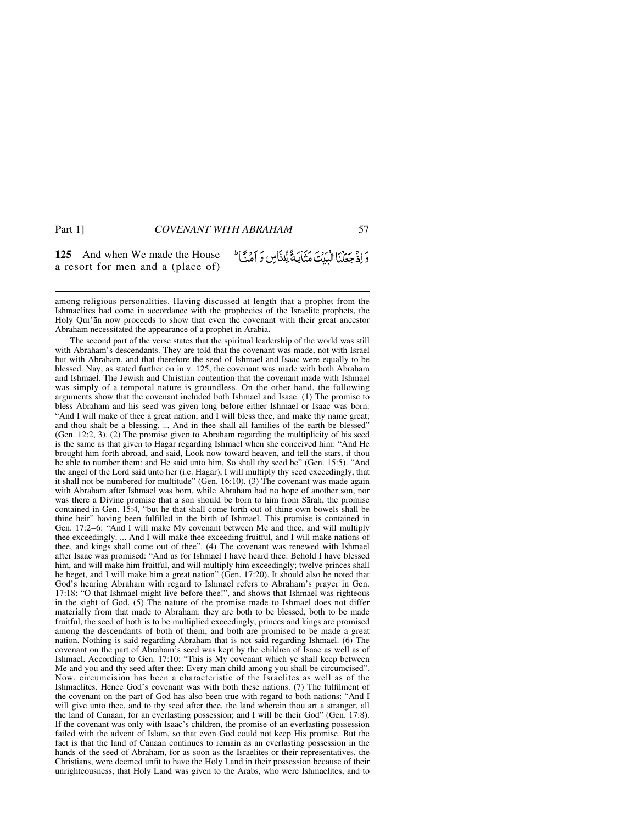**125** And when We made the House وَإِذْ جَعَلْنَا الْبَدْتَ مَثَابَيَّةً لِّلنَّاسِ وَ أَمْنَتَا ۖ a resort for men and a (place of)

among religious personalities. Having discussed at length that a prophet from the Ishmaelites had come in accordance with the prophecies of the Israelite prophets, the Holy Qur'ån now proceeds to show that even the covenant with their great ancestor Abraham necessitated the appearance of a prophet in Arabia.

The second part of the verse states that the spiritual leadership of the world was still with Abraham's descendants. They are told that the covenant was made, not with Israel but with Abraham, and that therefore the seed of Ishmael and Isaac were equally to be blessed. Nay, as stated further on in v. 125, the covenant was made with both Abraham and Ishmael. The Jewish and Christian contention that the covenant made with Ishmael was simply of a temporal nature is groundless. On the other hand, the following arguments show that the covenant included both Ishmael and Isaac. (1) The promise to bless Abraham and his seed was given long before either Ishmael or Isaac was born: "And I will make of thee a great nation, and I will bless thee, and make thy name great; and thou shalt be a blessing. ... And in thee shall all families of the earth be blessed" (Gen. 12:2, 3). (2) The promise given to Abraham regarding the multiplicity of his seed is the same as that given to Hagar regarding Ishmael when she conceived him: "And He brought him forth abroad, and said, Look now toward heaven, and tell the stars, if thou be able to number them: and He said unto him, So shall thy seed be" (Gen. 15:5). "And the angel of the Lord said unto her (i.e. Hagar), I will multiply thy seed exceedingly, that it shall not be numbered for multitude" (Gen. 16:10). (3) The covenant was made again with Abraham after Ishmael was born, while Abraham had no hope of another son, nor was there a Divine promise that a son should be born to him from Sårah, the promise contained in Gen. 15:4, "but he that shall come forth out of thine own bowels shall be thine heir" having been fulfilled in the birth of Ishmael. This promise is contained in Gen. 17:2–6: "And I will make My covenant between Me and thee, and will multiply thee exceedingly. ... And I will make thee exceeding fruitful, and I will make nations of thee, and kings shall come out of thee". (4) The covenant was renewed with Ishmael after Isaac was promised: "And as for Ishmael I have heard thee: Behold I have blessed him, and will make him fruitful, and will multiply him exceedingly; twelve princes shall he beget, and I will make him a great nation" (Gen. 17:20). It should also be noted that God's hearing Abraham with regard to Ishmael refers to Abraham's prayer in Gen. 17:18: "O that Ishmael might live before thee!", and shows that Ishmael was righteous in the sight of God. (5) The nature of the promise made to Ishmael does not differ materially from that made to Abraham: they are both to be blessed, both to be made fruitful, the seed of both is to be multiplied exceedingly, princes and kings are promised among the descendants of both of them, and both are promised to be made a great nation. Nothing is said regarding Abraham that is not said regarding Ishmael. (6) The covenant on the part of Abraham's seed was kept by the children of Isaac as well as of Ishmael. According to Gen. 17:10: "This is My covenant which ye shall keep between Me and you and thy seed after thee; Every man child among you shall be circumcised". Now, circumcision has been a characteristic of the Israelites as well as of the Ishmaelites. Hence God's covenant was with both these nations. (7) The fulfilment of the covenant on the part of God has also been true with regard to both nations: "And I will give unto thee, and to thy seed after thee, the land wherein thou art a stranger, all the land of Canaan, for an everlasting possession; and I will be their God" (Gen. 17:8). If the covenant was only with Isaac's children, the promise of an everlasting possession failed with the advent of Islåm, so that even God could not keep His promise. But the fact is that the land of Canaan continues to remain as an everlasting possession in the hands of the seed of Abraham, for as soon as the Israelites or their representatives, the Christians, were deemed unfit to have the Holy Land in their possession because of their unrighteousness, that Holy Land was given to the Arabs, who were Ishmaelites, and to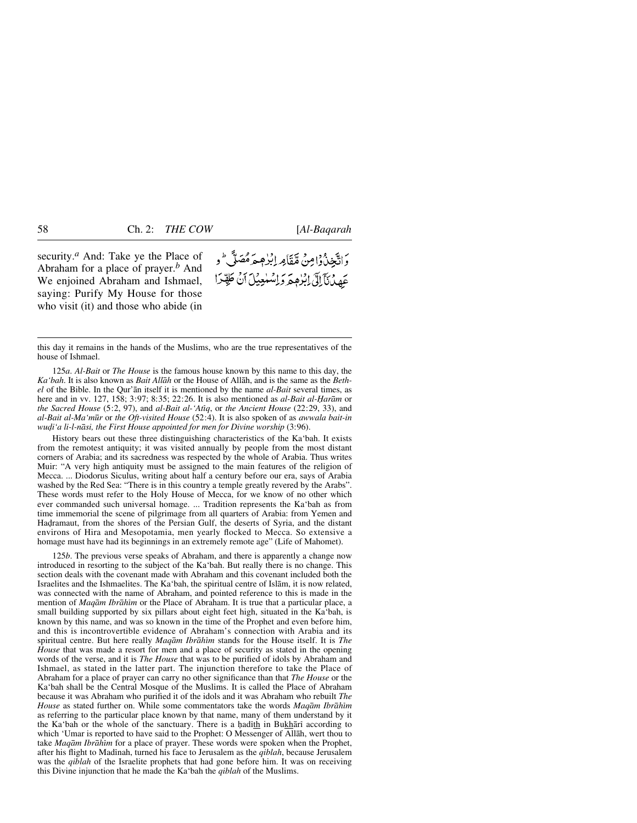security.*<sup>a</sup>* And: Take ye the Place of Abraham for a place of prayer.*<sup>b</sup>* And We enjoined Abraham and Ishmael, saying: Purify My House for those who visit (it) and those who abide (in

وَاتَّخِذْرُوْامِنْ مِّقَاْمِهِ إِبْرٰهِيمَرْمُصَلَّى ۖ و عَهِدْنَآلِلَ ابْرُهِمَ وَاسْلُعِيْلَ أَنْ طَهِّدًا

this day it remains in the hands of the Muslims, who are the true representatives of the house of Ishmael.

125*a*. *Al-Bait* or *The House* is the famous house known by this name to this day, the *Ka'bah*. It is also known as *Bait Allåh* or the House of Allåh, and is the same as the *Bethel* of the Bible. In the Qur'ån itself it is mentioned by the name *al-Bait* several times, as here and in vv. 127, 158; 3:97; 8:35; 22:26. It is also mentioned as *al-Bait al-Harām* or *the Sacred House* (5:2, 97), and *al-Bait al-'Atßq*, or *the Ancient House* (22:29, 33), and *al-Bait al-Ma'm∂r* or *the Oft-visited House* (52:4). It is also spoken of as *awwala bait-in* wudi'a li-l-nāsi, the First House appointed for men for Divine worship (3:96).

History bears out these three distinguishing characteristics of the Ka'bah. It exists from the remotest antiquity; it was visited annually by people from the most distant corners of Arabia; and its sacredness was respected by the whole of Arabia. Thus writes Muir: "A very high antiquity must be assigned to the main features of the religion of Mecca. ... Diodorus Siculus, writing about half a century before our era, says of Arabia washed by the Red Sea: "There is in this country a temple greatly revered by the Arabs". These words must refer to the Holy House of Mecca, for we know of no other which ever commanded such universal homage. ... Tradition represents the Ka'bah as from time immemorial the scene of pilgrimage from all quarters of Arabia: from Yemen and Hadramaut, from the shores of the Persian Gulf, the deserts of Syria, and the distant environs of Hira and Mesopotamia, men yearly flocked to Mecca. So extensive a homage must have had its beginnings in an extremely remote age" (Life of Mahomet).

125*b*. The previous verse speaks of Abraham, and there is apparently a change now introduced in resorting to the subject of the Ka'bah. But really there is no change. This section deals with the covenant made with Abraham and this covenant included both the Israelites and the Ishmaelites. The Ka'bah, the spiritual centre of Islåm, it is now related, was connected with the name of Abraham, and pointed reference to this is made in the mention of *Maqām Ibrāhīm* or the Place of Abraham. It is true that a particular place, a small building supported by six pillars about eight feet high, situated in the Ka'bah, is known by this name, and was so known in the time of the Prophet and even before him, and this is incontrovertible evidence of Abraham's connection with Arabia and its spiritual centre. But here really *Maqåm Ibråhßm* stands for the House itself. It is *The House* that was made a resort for men and a place of security as stated in the opening words of the verse, and it is *The House* that was to be purified of idols by Abraham and Ishmael, as stated in the latter part. The injunction therefore to take the Place of Abraham for a place of prayer can carry no other significance than that *The House* or the Ka'bah shall be the Central Mosque of the Muslims. It is called the Place of Abraham because it was Abraham who purified it of the idols and it was Abraham who rebuilt *The House* as stated further on. While some commentators take the words *Maqåm Ibråhßm* as referring to the particular place known by that name, many of them understand by it the Ka'bah or the whole of the sanctuary. There is a hadith in Bukhārī according to which 'Umar is reported to have said to the Prophet: O Messenger of Allåh, wert thou to take *Maqām Ibrāhīm* for a place of prayer. These words were spoken when the Prophet, after his flight to Madinah, turned his face to Jerusalem as the *qiblah*, because Jerusalem was the *qiblah* of the Israelite prophets that had gone before him. It was on receiving this Divine injunction that he made the Ka'bah the *qiblah* of the Muslims.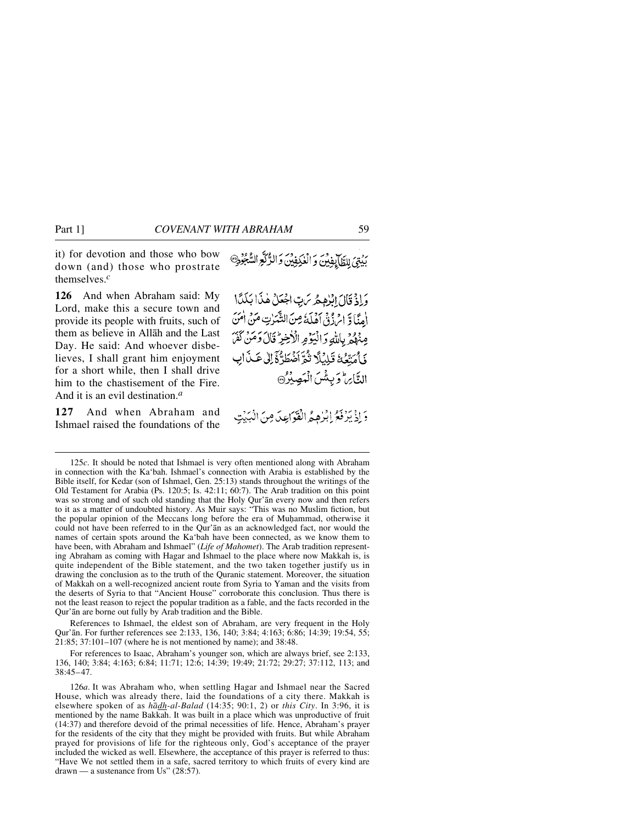it) for devotion and those who bow down (and) those who prostrate themselves.*<sup>c</sup>*

**126** And when Abraham said: My Lord, make this a secure town and provide its people with fruits, such of them as believe in Allåh and the Last Day. He said: And whoever disbelieves, I shall grant him enjoyment for a short while, then I shall drive him to the chastisement of the Fire. And it is an evil destination.*<sup>a</sup>*

**127** And when Abraham and Ishmael raised the foundations of the بُدْتِيَ لِلظَّابِفِينَ وَالْعُكِفِينَ وَالدُّكَّعِ السُّجُودِ

وَإِذْ قَالَ إِبْرٰهِهُ مِن بِّ اجْعَلْ هٰذَا بَلَدًا الْمِنَّا وَّ الْرَزْقُ اَهْلَهُ مِنَ الشَّرْتِ مَنْ اٰ مَنَ عِنْهُمْ بِاللَّهِ وَالْيَوْمِ الْأَخِيرُ قَالَ وَمَنْ لَفَلَ نَأْمَتّْعُهُ تَلِيْلًا تُمَّ أَضْطَرُّهُ إِلَى عَـٰذَابِ التَّابِراطوَ بِيِثْينَ الْمَصِينُونِ

وَإِذْ بَزْفَعُ إِبْرٰهِ جُهِ الْقَوَاعِدَ مِنَ الْهَدْتِ

References to Ishmael, the eldest son of Abraham, are very frequent in the Holy Qur'ån. For further references see 2:133, 136, 140; 3:84; 4:163; 6:86; 14:39; 19:54, 55; 21:85; 37:101–107 (where he is not mentioned by name); and 38:48.

For references to Isaac, Abraham's younger son, which are always brief, see 2:133, 136, 140; 3:84; 4:163; 6:84; 11:71; 12:6; 14:39; 19:49; 21:72; 29:27; 37:112, 113; and 38:45–47.

126*a*. It was Abraham who, when settling Hagar and Ishmael near the Sacred House, which was already there, laid the foundations of a city there. Makkah is elsewhere spoken of as *hådh-al-Balad* (14:35; 90:1, 2) or *this City*. In 3:96, it is mentioned by the name Bakkah. It was built in a place which was unproductive of fruit (14:37) and therefore devoid of the primal necessities of life. Hence, Abraham's prayer for the residents of the city that they might be provided with fruits. But while Abraham prayed for provisions of life for the righteous only, God's acceptance of the prayer included the wicked as well. Elsewhere, the acceptance of this prayer is referred to thus: "Have We not settled them in a safe, sacred territory to which fruits of every kind are drawn — a sustenance from Us" (28:57).

<sup>125</sup>*c*. It should be noted that Ishmael is very often mentioned along with Abraham in connection with the Ka'bah. Ishmael's connection with Arabia is established by the Bible itself, for Kedar (son of Ishmael, Gen. 25:13) stands throughout the writings of the Old Testament for Arabia (Ps. 120:5; Is. 42:11; 60:7). The Arab tradition on this point was so strong and of such old standing that the Holy Qur'ån every now and then refers to it as a matter of undoubted history. As Muir says: "This was no Muslim fiction, but the popular opinion of the Meccans long before the era of Muhammad, otherwise it could not have been referred to in the Qur'ån as an acknowledged fact, nor would the names of certain spots around the Ka'bah have been connected, as we know them to have been, with Abraham and Ishmael" (*Life of Mahomet*). The Arab tradition representing Abraham as coming with Hagar and Ishmael to the place where now Makkah is, is quite independent of the Bible statement, and the two taken together justify us in drawing the conclusion as to the truth of the Quranic statement. Moreover, the situation of Makkah on a well-recognized ancient route from Syria to Yaman and the visits from the deserts of Syria to that "Ancient House" corroborate this conclusion. Thus there is not the least reason to reject the popular tradition as a fable, and the facts recorded in the Qur'ån are borne out fully by Arab tradition and the Bible.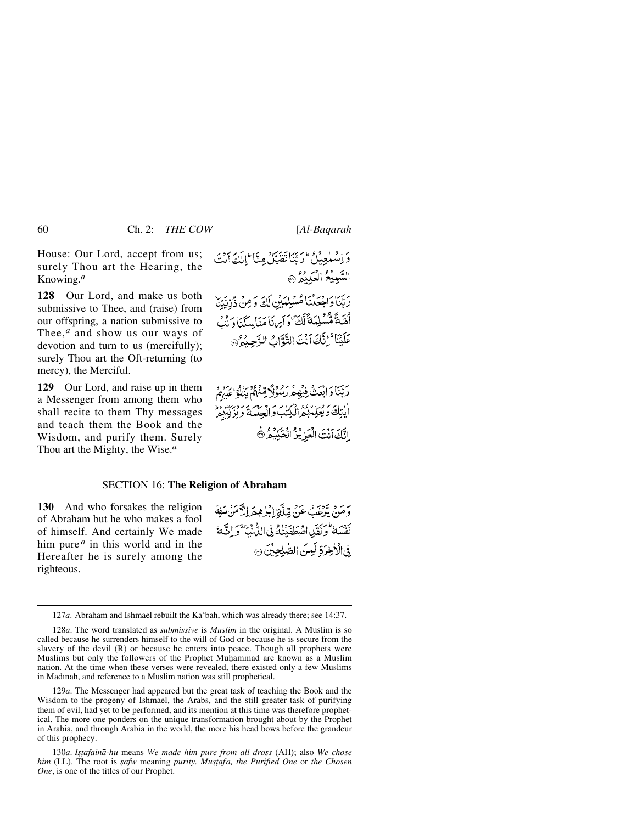House: Our Lord, accept from us; surely Thou art the Hearing, the Knowing.*<sup>a</sup>*

**128** Our Lord, and make us both submissive to Thee, and (raise) from our offspring, a nation submissive to Thee,*<sup>a</sup>* and show us our ways of devotion and turn to us (mercifully); surely Thou art the Oft-returning (to mercy), the Merciful.

**129** Our Lord, and raise up in them a Messenger from among them who shall recite to them Thy messages and teach them the Book and the Wisdom, and purify them. Surely Thou art the Mighty, the Wise.*<sup>a</sup>*

وَ اِسْتَعِيْلُ \* رَبَّنَا تَقْبَلْ مِنَّا \* اِنَّكَ أَنْتَ السَّبِيَّعُ الْعَلِيْدُ @ رَبَّنَا وَاجْعَلْنَا مُسْلِمَبْنِ لَكَ وَمِنْ ذُرِّيَّتِنَّا أَهْيَةً مُّسْلِمَةً لَّكَّ وَآيِرَنَا مَنَامِيكَنَا وَنُبُ عَلَيْنَا ۚ إِنَّكَ اَنۡتَ التَّوَّابُ الرَّحِيْمُ ﴾

رَبَّنَا وَابْعَثْ فِيُهِمْ رَسُوْلَا قِنْهُمْ بَنَاْ}اعَلَهُمْ أيتِكَ وَبُعَيِّمَهُمْ الْكِتَبَ وَالْجِلْمَةَ وَيُرْكِبُوْهِ اتَّكَ أَنْتَ الْعَرْيُرُ الْحَكِيْمُ ۞

#### SECTION 16: **The Religion of Abraham**

**130** And who forsakes the religion of Abraham but he who makes a fool of himself. And certainly We made him pure *<sup>a</sup>* in this world and in the Hereafter he is surely among the righteous.

رَّ مَنْ يَرْغَبُ عَنْ مِّلَّةِ إِبْرٰهِمَ إِلاَّصَنْ سَفِهَ بَعْضَةً وَلَقَدِياهُ صَطَفَبَنِكُ فِي اللَّهُ نَبَا ۚ وَ إِنَّ مَا في الْأَخِرَةِ لَمِنَ الصَّلِحِينَ ۞

129*a*. The Messenger had appeared but the great task of teaching the Book and the Wisdom to the progeny of Ishmael, the Arabs, and the still greater task of purifying them of evil, had yet to be performed, and its mention at this time was therefore prophetical. The more one ponders on the unique transformation brought about by the Prophet in Arabia, and through Arabia in the world, the more his head bows before the grandeur of this prophecy.

130*a*. *I©∆afainå-hu* means *We made him pure from all dross* (AH); also *We chose him* (LL). The root is *safw* meaning *purity. Mustafā, the Purified One* or *the Chosen One*, is one of the titles of our Prophet.

<sup>127</sup>*a*. Abraham and Ishmael rebuilt the Ka'bah, which was already there; see 14:37.

<sup>128</sup>*a*. The word translated as *submissive* is *Muslim* in the original. A Muslim is so called because he surrenders himself to the will of God or because he is secure from the slavery of the devil (R) or because he enters into peace. Though all prophets were Muslims but only the followers of the Prophet Muhammad are known as a Muslim nation. At the time when these verses were revealed, there existed only a few Muslims in Madinah, and reference to a Muslim nation was still prophetical.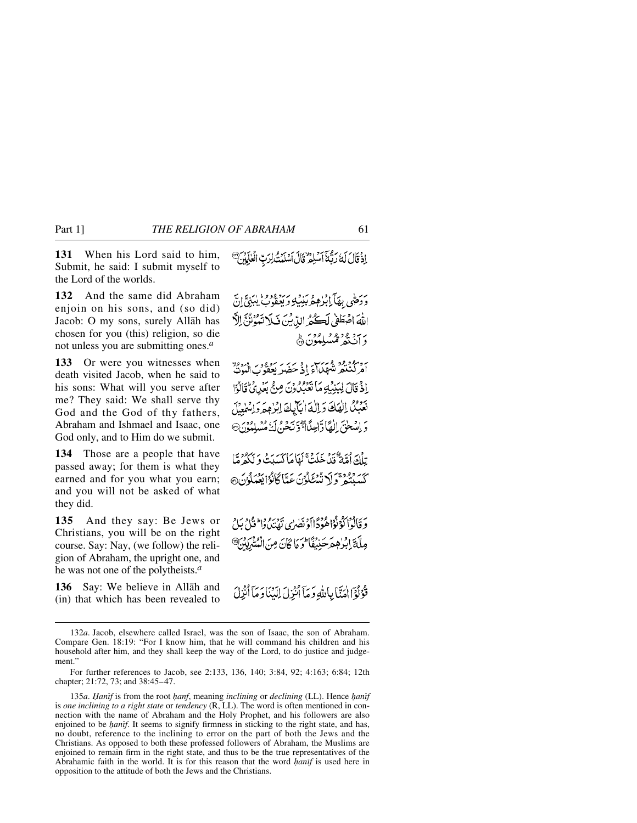**131** When his Lord said to him, Submit, he said: I submit myself to the Lord of the worlds.

**132** And the same did Abraham enjoin on his sons, and (so did) Jacob: O my sons, surely Allåh has chosen for you (this) religion, so die not unless you are submitting ones.*<sup>a</sup>*

**133** Or were you witnesses when death visited Jacob, when he said to his sons: What will you serve after me? They said: We shall serve thy God and the God of thy fathers, Abraham and Ishmael and Isaac, one God only, and to Him do we submit.

**134** Those are a people that have passed away; for them is what they earned and for you what you earn; and you will not be asked of what they did.

**135** And they say: Be Jews or Christians, you will be on the right course. Say: Nay, (we follow) the religion of Abraham, the upright one, and he was not one of the polytheists.*<sup>a</sup>*

**136** Say: We believe in Allåh and (in) that which has been revealed to

إِذْ قَالَ لَهُ رَبَّهُمْ أَسْلِمُ قَالَ أَسْلَمْتُ لِرَبِّ الْعٰلَمَيْنَ

برسطى بهَآبازهمْ بُنِيكِ وَيَعْفُوبُّ يُبَنِيَّ! اللَّهَ اصْطَفِي لَكِنَّهُ الدِّينَ فَبِلَا تَبُوُنُنَّ الدَّ بر برورو و برود.<br>وان تد مسلمون ه

برد مودود مرسس و بربر سوود و درود<br>امرکتنگر تشهارای ای حضر بعفون البوت اِذْ قَالَ لِبَنِيْبِهِ مَا نَتَبَيِّدُونَ مِنْ بَعَٰدِيٌّ قَالَوْا تعبك الهك والما ابابك ابرهم واسلمل دَ اِسْحٰنَ الْقَا وَّاحِلَّا ٱوَّنۡحَنَّ لَهُ مُسْلِمُوۡ

تِلْكَ أُمَّةٌ ۚ قَدْ خَلَتْ ۚ لَهَا مَا كَسَبَتْ وَ لَكُمْ مَّا كَسَنْتُمْ وَلَا تُسْتَلَوْنَ عَبَّا كَانُوْا يَعْمَلُوْنَ@

وَ قَالُوْا كَوْنُوْا هُوَدًا أَوْ نَصْرَى يَوْسَعُ وَالْحَيْلُ بِلْ مِلَّةَ إِبْرٰهِمْرَحَنِيۡفَأُ ۖ وَمَا كَانَ مِنَ الْمُشْرَكِينَ ۚ

قَوْلُوۡٓٓالۡمَنَّا بِٱللَّهِ وَمَآ ٱنۡزِلَ إِلَيۡنَاوَمَآ ٱنۡزِلَ

<sup>132</sup>*a*. Jacob, elsewhere called Israel, was the son of Isaac, the son of Abraham. Compare Gen. 18:19: "For I know him, that he will command his children and his household after him, and they shall keep the way of the Lord, to do justice and judgement."

For further references to Jacob, see 2:133, 136, 140; 3:84, 92; 4:163; 6:84; 12th chapter; 21:72, 73; and 38:45–47.

<sup>135</sup>*a*. *Hanif* is from the root *hanf*, meaning *inclining* or *declining* (LL). Hence *hanif* is *one inclining to a right state* or *tendency* (R, LL). The word is often mentioned in connection with the name of Abraham and the Holy Prophet, and his followers are also enjoined to be *hanff*. It seems to signify firmness in sticking to the right state, and has, no doubt, reference to the inclining to error on the part of both the Jews and the Christians. As opposed to both these professed followers of Abraham, the Muslims are enjoined to remain firm in the right state, and thus to be the true representatives of the Abrahamic faith in the world. It is for this reason that the word *hanif* is used here in opposition to the attitude of both the Jews and the Christians.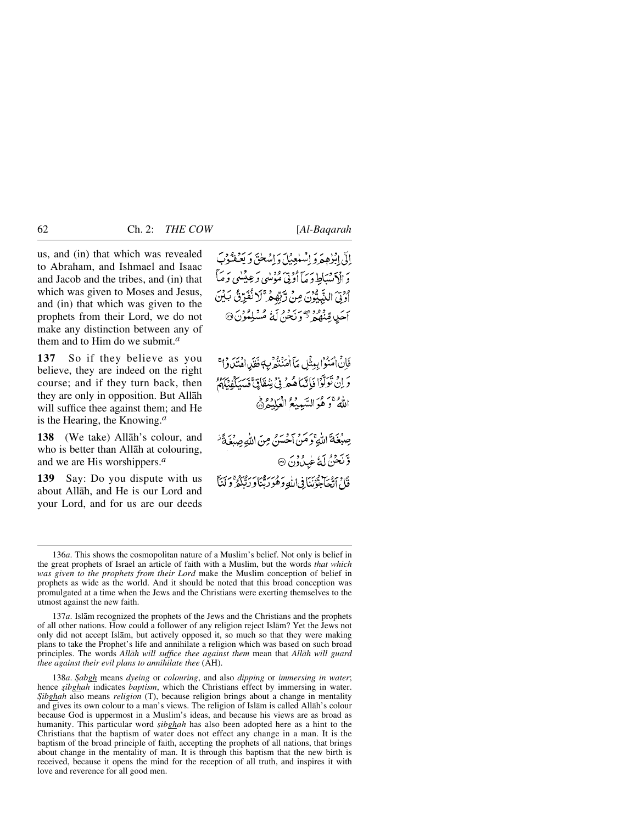us, and (in) that which was revealed to Abraham, and Ishmael and Isaac and Jacob and the tribes, and (in) that which was given to Moses and Jesus, and (in) that which was given to the prophets from their Lord, we do not make any distinction between any of them and to Him do we submit.*<sup>a</sup>*

**137** So if they believe as you believe, they are indeed on the right course; and if they turn back, then they are only in opposition. But Allåh will suffice thee against them; and He is the Hearing, the Knowing.*<sup>a</sup>*

**138** (We take) Allåh's colour, and who is better than Allåh at colouring, and we are His worshippers.*<sup>a</sup>*

**139** Say: Do you dispute with us about Allåh, and He is our Lord and your Lord, and for us are our deeds

إِلَّيْ ابْزُهِمْ وَ إِسْلَعِبْلَ وَ إِسْلَحْقَ وَ يَعْفُوْبَ دَ الْإِنْسْيَاطِ دَ مَآ أُوۡنِیۡ مُؤۡسٰیٖ وَعِیۡسٰی وَ مَآ اوتىَ النَّبِيُّوْنَ مِنْ رَّبِّهِمْ ۚ لَا نُفَرِّنُ بَيْنَ آھَدِي قِيدُودُ مِيجَمْعَةَ رَبِّعُونَ آلَٰهُ مُسْلِمُوْنَ۞

فَانْ اٰمَنُوۡ ابِبِينَنِ مَآ اٰمَنۡنُهُمۡ بِ4ٖ فَقَلِ اهۡنَنَاوُ أَ ۚ وَ إِنْ تَوَلَّوْا فَإِنَّمَاهُمْ فِي شِقَاتِيٌّ فَسَيَكْفِيَكُمْ اللَّهُ ۚ وَ هُوَ السَّبِيبُعُ الْعَلَيْهِ ۞

صِبْغَةَ اللَّهِ وَمَنْ آحْسَنُ مِنَ اللَّهِ صِبْغَةً وَّنَحْنُ لَهُ عَٰيِدُوْنَ ۞ قَالَ ٱتّْحَاهِبُوْنَنَا فِي اللَّهِ وَهُوَ رَبَّنَاوَ رَبُّنَكُمْ ۚ وَ لَنَآ

137*a*. Islåm recognized the prophets of the Jews and the Christians and the prophets of all other nations. How could a follower of any religion reject Islåm? Yet the Jews not only did not accept Islåm, but actively opposed it, so much so that they were making plans to take the Prophet's life and annihilate a religion which was based on such broad principles. The words *Allåh will suffice thee against them* mean that *Allåh will guard thee against their evil plans to annihilate thee* (AH).

138*a*. *˝abgh* means *dyeing* or *colouring*, and also *dipping* or *immersing in water*; hence *sibghah* indicates *baptism*, which the Christians effect by immersing in water. *Sibghah* also means *religion* (T), because religion brings about a change in mentality and gives its own colour to a man's views. The religion of Islåm is called Allåh's colour because God is uppermost in a Muslim's ideas, and because his views are as broad as humanity. This particular word *sibghah* has also been adopted here as a hint to the Christians that the baptism of water does not effect any change in a man. It is the baptism of the broad principle of faith, accepting the prophets of all nations, that brings about change in the mentality of man. It is through this baptism that the new birth is received, because it opens the mind for the reception of all truth, and inspires it with love and reverence for all good men.

<sup>136</sup>*a*. This shows the cosmopolitan nature of a Muslim's belief. Not only is belief in the great prophets of Israel an article of faith with a Muslim, but the words *that which was given to the prophets from their Lord* make the Muslim conception of belief in prophets as wide as the world. And it should be noted that this broad conception was promulgated at a time when the Jews and the Christians were exerting themselves to the utmost against the new faith.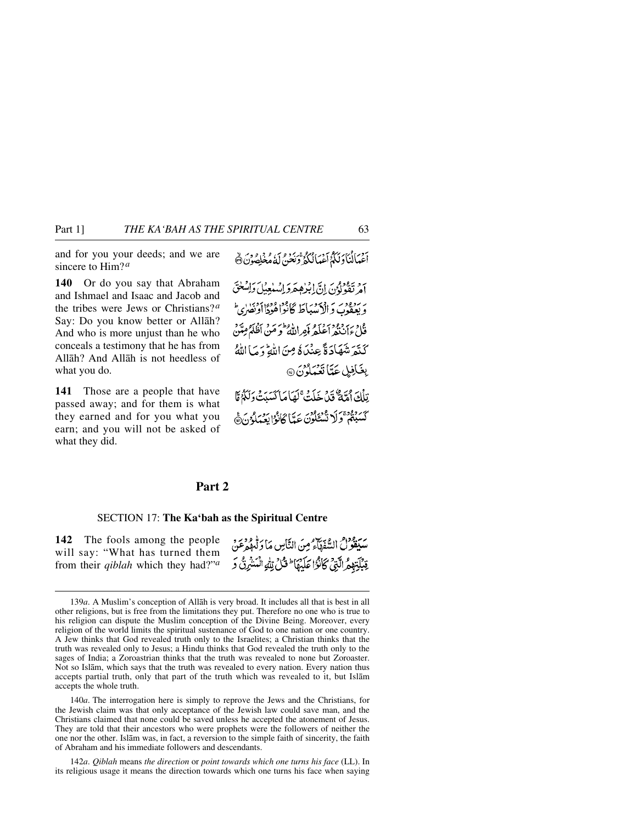and for you your deeds; and we are sincere to Him?*<sup>a</sup>*

**140** Or do you say that Abraham and Ishmael and Isaac and Jacob and the tribes were Jews or Christians? *<sup>a</sup>* Say: Do you know better or Allåh? And who is more unjust than he who conceals a testimony that he has from Allåh? And Allåh is not heedless of what you do.

**141** Those are a people that have passed away; and for them is what they earned and for you what you earn; and you will not be asked of what they did.

أَعْمَالُنَا وَلَكُمْ أَعْمَالُكُوْ تَرَبُّرُ فِي لَهُ مُغْلِصُوْنَ ۞

أمْرِ تَقْوَلُوْيَ إِنَّيْ إِبْرُهِهَرَدَ إِنْسَلَعِبْلَ وَإِسْغَتَيْ بر بردود به در در دانل کار داده داده داد.<br>و بعقوب د الامییاط کانوا هودااونصری فك ءان ويوم داه كوران وارده من اظلمُ مِيّن كَنْقَرَ شَهَادَةً عِنْدَهُ مِنَ اللَّهِ وَمَا اللَّهُ بِغَافِيلٍ عَدَّا تَعْمَلُونَ۞

تِلْكَ أَمَّةً ثَيْنَ خَلَتُ ۚ لَهَا مَا كَسَنَتْ وَلَٰكُمْ مَّا كَسَبْتُمْ تَوَلَا نُسْئَلُونَ عَيِّبًا كَانْدُا يَعْبَدُونَ هَي

# **Part 2**

#### SECTION 17: **The Ka'bah as the Spiritual Centre**

**142** The fools among the people will say: "What has turned them from their *qiblah* which they had?"*<sup>a</sup>* سيدود من الشقطاء من النّاس مَا دَ لِيهِ وَدِيرِ.<br>سيفو لُ السّقطاء مِنَ النّاسِ مَا دَ لِيهِ عَن قِبْلَةِ وَهِ الَّتِيِّ كَأَنْزَا عَلَيْهَا ۖ قُلْ تِلْهِ الْمَشْرِقُ وَ

140*a*. The interrogation here is simply to reprove the Jews and the Christians, for the Jewish claim was that only acceptance of the Jewish law could save man, and the Christians claimed that none could be saved unless he accepted the atonement of Jesus. They are told that their ancestors who were prophets were the followers of neither the one nor the other. Islåm was, in fact, a reversion to the simple faith of sincerity, the faith of Abraham and his immediate followers and descendants.

142*a*. *Qiblah* means *the direction* or *point towards which one turns his face* (LL). In its religious usage it means the direction towards which one turns his face when saying

<sup>139</sup>*a*. A Muslim's conception of Allåh is very broad. It includes all that is best in all other religions, but is free from the limitations they put. Therefore no one who is true to his religion can dispute the Muslim conception of the Divine Being. Moreover, every religion of the world limits the spiritual sustenance of God to one nation or one country. A Jew thinks that God revealed truth only to the Israelites; a Christian thinks that the truth was revealed only to Jesus; a Hindu thinks that God revealed the truth only to the sages of India; a Zoroastrian thinks that the truth was revealed to none but Zoroaster. Not so Islåm, which says that the truth was revealed to every nation. Every nation thus accepts partial truth, only that part of the truth which was revealed to it, but Islåm accepts the whole truth.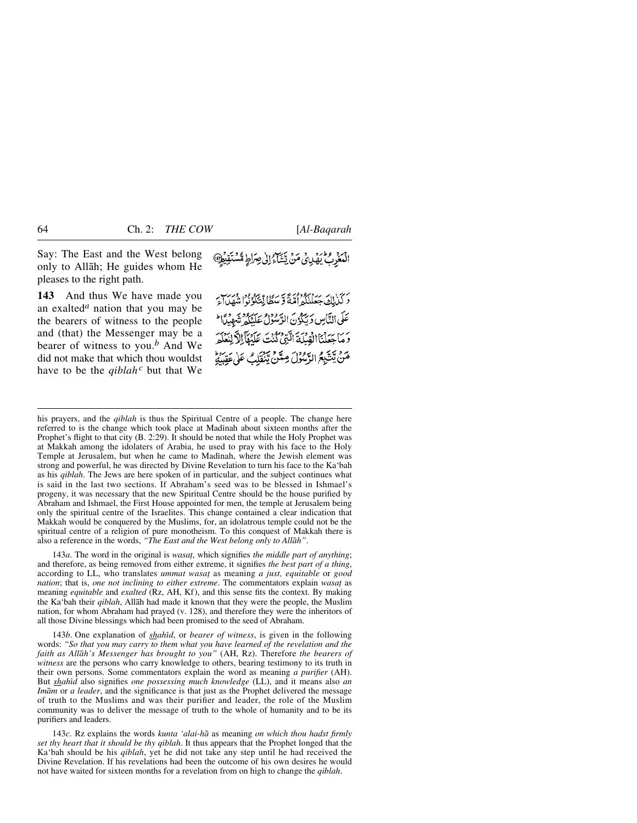Say: The East and the West belong only to Allåh; He guides whom He pleases to the right path.

**143** And thus We have made you an exalted*<sup>a</sup>* nation that you may be the bearers of witness to the people and (that) the Messenger may be a bearer of witness to you.*<sup>b</sup>* And We did not make that which thou wouldst have to be the *qiblah<sup>c</sup>* but that We بِينَ مَنْ يَشَاءُ إِلَى صِرَاطٍ مُّسْتَقِيْهِا

دَ كَيْرَاكَ جَعَلْنَكُمْ أُمَّةً وَ سَطَا لِّيَّكُوْنُوا شَهْدِاءَ عَلَى النَّاسِ وَيَكُوْنَ الرَّسُوْلُ عَلَيْكُمْ تَعُمِيلًا الْمَ دَ مَا حَعَلْنَا الْقِيلَةَ الَّتِيْ كُنْتَ عَلَيْفَآ الْأَلْنَعْلَهَ حَنْ يَتَّبِعُ الرَّسُولُ مِتَنْ يَنْقَلِبُ عَلَى عَقِبِيَّةٍ

his prayers, and the *qiblah* is thus the Spiritual Centre of a people. The change here referred to is the change which took place at Madinah about sixteen months after the Prophet's flight to that city (B. 2:29). It should be noted that while the Holy Prophet was at Makkah among the idolaters of Arabia, he used to pray with his face to the Holy Temple at Jerusalem, but when he came to Madinah, where the Jewish element was strong and powerful, he was directed by Divine Revelation to turn his face to the Ka'bah as his *qiblah*. The Jews are here spoken of in particular, and the subject continues what is said in the last two sections. If Abraham's seed was to be blessed in Ishmael's progeny, it was necessary that the new Spiritual Centre should be the house purified by Abraham and Ishmael, the First House appointed for men, the temple at Jerusalem being only the spiritual centre of the Israelites. This change contained a clear indication that Makkah would be conquered by the Muslims, for, an idolatrous temple could not be the spiritual centre of a religion of pure monotheism. To this conquest of Makkah there is also a reference in the words, *"The East and the West belong only to Allåh"*.

143*a*. The word in the original is *wasat*, which signifies *the middle part of anything*; and therefore, as being removed from either extreme, it signifies *the best part of a thing*, according to LL, who translates *ummat wasa∆* as meaning *a just, equitable* or *good nation*; that is, *one not inclining to either extreme*. The commentators explain *wasat* as meaning *equitable* and *exalted* (Rz, AH, Kf), and this sense fits the context. By making the Ka'bah their *qiblah*, Allåh had made it known that they were the people, the Muslim nation, for whom Abraham had prayed (v. 128), and therefore they were the inheritors of all those Divine blessings which had been promised to the seed of Abraham.

143*b*. One explanation of *shahßd*, or *bearer of witness*, is given in the following words: *"So that you may carry to them what you have learned of the revelation and the faith as Allåh's Messenger has brought to you"* (AH, Rz). Therefore *the bearers of witness* are the persons who carry knowledge to others, bearing testimony to its truth in their own persons. Some commentators explain the word as meaning *a purifier* (AH). But *shahßd* also signifies *one possessing much knowledge* (LL), and it means also *an Imåm* or *a leader*, and the significance is that just as the Prophet delivered the message of truth to the Muslims and was their purifier and leader, the role of the Muslim community was to deliver the message of truth to the whole of humanity and to be its purifiers and leaders.

143*c*. Rz explains the words *kunta 'alai-hå* as meaning *on which thou hadst firmly set thy heart that it should be thy qiblah*. It thus appears that the Prophet longed that the Ka'bah should be his *qiblah*, yet he did not take any step until he had received the Divine Revelation. If his revelations had been the outcome of his own desires he would not have waited for sixteen months for a revelation from on high to change the *qiblah*.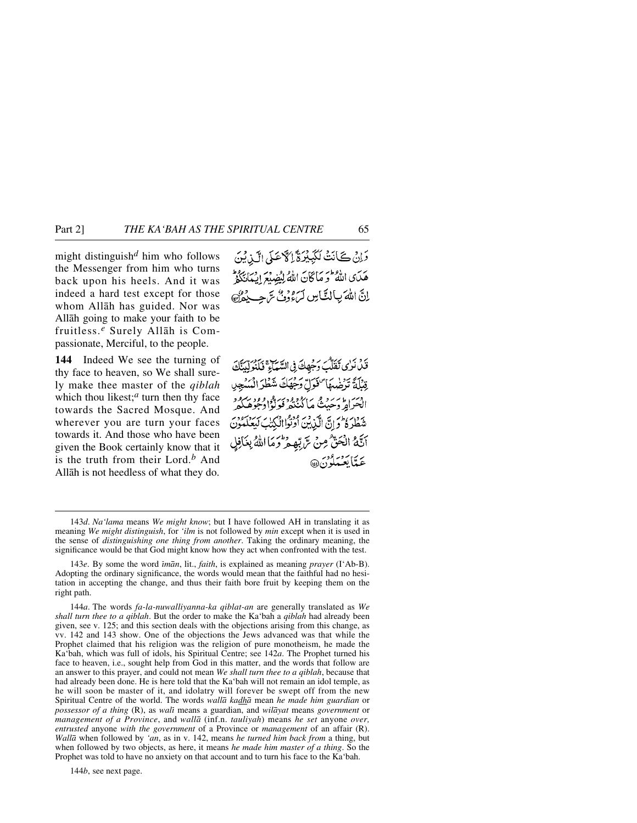might distinguish*<sup>d</sup>* him who follows the Messenger from him who turns back upon his heels. And it was indeed a hard test except for those whom Allåh has guided. Nor was Allåh going to make your faith to be fruitless.*<sup>e</sup>* Surely Allåh is Compassionate, Merciful, to the people.

**144** Indeed We see the turning of thy face to heaven, so We shall surely make thee master of the *qiblah* which thou likest;<sup>*a*</sup> turn then thy face towards the Sacred Mosque. And wherever you are turn your faces towards it. And those who have been given the Book certainly know that it is the truth from their Lord.*<sup>b</sup>* And Allåh is not heedless of what they do.

دَانْ كَأَنَتْ لَكَبِيْرَةَ إِلَّا عَلَى الَّذِيْنَ هَدَى اللَّهُ وَ مَاكَانَ اللَّهُ لِيُضِيْعَ إِيْمَانَكُمْ اِنَّ اللّٰہَ بِبِالتَّبَاسِ لَمَءُوۡوۡنَّ سَ جِبِ بِجُوْنَ

قَلْ نَرْى تَقَلَّبُ وَجُهِكَ فِي السَّيْمَاءِ فَيَكْنُوَلِّدَنَّكَ قِبْلَةً تَرْضُهَا "فَوَلِّ وَجْهَكَ شَطْرَ الْمَسْجِي دسر دایر د می ما دو د دسر د ورو بهرود<br>الحراه وحیت ما کنیده فولهٔاوجوهکه شَطْرَةُ مُحْرَانٌ الَّذِينَ أُوَنُواانْكِتَٰبَ كَبِيَحْكُمُونَ أَنَّهُ الْحَقُّ مِنْ سَّ تِهِ مِرْتُومَا اللَّهُ بِغَافِلِ برس برود.<br>عبدالعبيلون @

144*a*. The words *fa-la-nuwalliyanna-ka qiblat-an* are generally translated as *We shall turn thee to a qiblah*. But the order to make the Ka'bah a *qiblah* had already been given, see v. 125; and this section deals with the objections arising from this change, as vv. 142 and 143 show. One of the objections the Jews advanced was that while the Prophet claimed that his religion was the religion of pure monotheism, he made the Ka'bah, which was full of idols, his Spiritual Centre; see 142*a*. The Prophet turned his face to heaven, i.e., sought help from God in this matter, and the words that follow are an answer to this prayer, and could not mean *We shall turn thee to a qiblah*, because that had already been done. He is here told that the Ka'bah will not remain an idol temple, as he will soon be master of it, and idolatry will forever be swept off from the new Spiritual Centre of the world. The words *wallå kadhå* mean *he made him guardian* or *possessor of a thing* (R), as *walß* means a guardian, and *wilåyat* means *government* or *management of a Province*, and *wallå* (inf.n. *tauliyah*) means *he set* anyone *over, entrusted* anyone *with the government* of a Province or *management* of an affair (R). *Wallå* when followed by *'an*, as in v. 142, means *he turned him back from* a thing, but when followed by two objects, as here, it means *he made him master of a thing*. So the Prophet was told to have no anxiety on that account and to turn his face to the Ka'bah.

144*b*, see next page.

<sup>143</sup>*d*. *Na'lama* means *We might know*; but I have followed AH in translating it as meaning *We might distinguish*, for *'ilm* is not followed by *min* except when it is used in the sense of *distinguishing one thing from another*. Taking the ordinary meaning, the significance would be that God might know how they act when confronted with the test.

<sup>143</sup>*e*. By some the word *ßmån*, lit., *faith*, is explained as meaning *prayer* (I'Ab-B). Adopting the ordinary significance, the words would mean that the faithful had no hesitation in accepting the change, and thus their faith bore fruit by keeping them on the right path.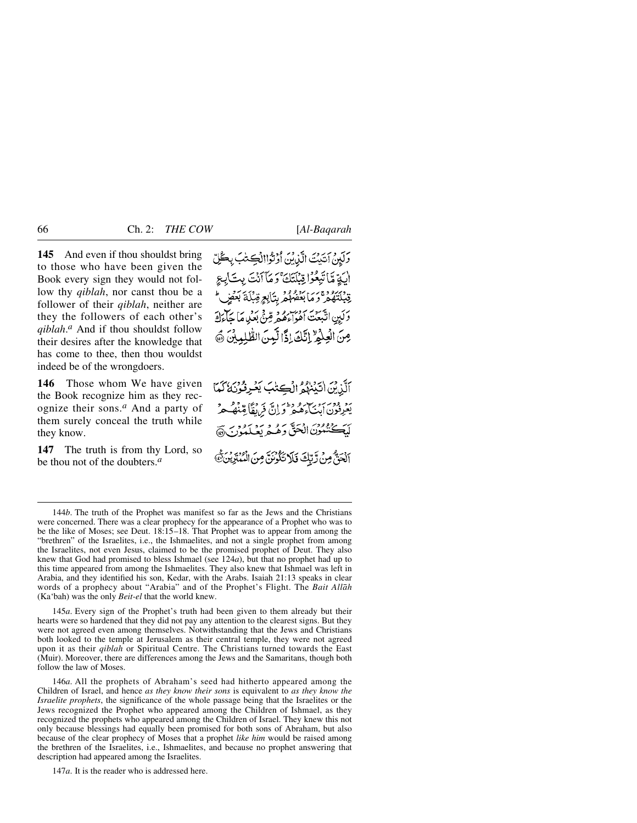**145** And even if thou shouldst bring to those who have been given the Book every sign they would not follow thy *qiblah*, nor canst thou be a follower of their *qiblah*, neither are they the followers of each other's *qiblah*. *<sup>a</sup>* And if thou shouldst follow their desires after the knowledge that has come to thee, then thou wouldst indeed be of the wrongdoers.

**146** Those whom We have given the Book recognize him as they recognize their sons.*<sup>a</sup>* And a party of them surely conceal the truth while they know.

**147** The truth is from thy Lord, so be thou not of the doubters.*<sup>a</sup>*

وَلَهِنْ آتَيْتَ الَّذِينَ أَوْتُوْاالْكِتْبَ بِكُلِّ الِيَةِ مَّا تَبِعُوْا قِبْلَتَكَ ۚ وَ مَآ أَنۡتَ بِتَ]بِعِ قِبْلَتَهُوْ ثَوَمَا بَعْثُهُمْ رِبَابِعٍ قِبْلَةَ بَعْضٍ وَكَبِنِ انْتَبِعَتْ أَمْوَاءَهُمْ وَمِنْيَ بَعْدِهِ مَا حَاءَلَةَ مِنَ الْعِلْمُ إِنَّكَ إِذًا لَّبِينَ الطَّلِيِينَ ٥

أَلَّذِيْنَ اٰتَيْنَهُمُ الْكِتْبَ يَعْرِفُوْنَهُ كَمَا رد ودیرو سر و دورانج فریقاً مینگ م لَيَكْتُمُونَ الْحَقَّ وَهُـعَرِيعَـلَمُوْنَ أَبْحَقٌّ مِنْ رَّبِّكَ فَلَا تَكُونَنَّ مِنَ الْمُبْتِرِينَ ﴾

145*a*. Every sign of the Prophet's truth had been given to them already but their hearts were so hardened that they did not pay any attention to the clearest signs. But they were not agreed even among themselves. Notwithstanding that the Jews and Christians both looked to the temple at Jerusalem as their central temple, they were not agreed upon it as their *qiblah* or Spiritual Centre. The Christians turned towards the East (Muir). Moreover, there are differences among the Jews and the Samaritans, though both follow the law of Moses.

146*a*. All the prophets of Abraham's seed had hitherto appeared among the Children of Israel, and hence *as they know their sons* is equivalent to *as they know the Israelite prophets*, the significance of the whole passage being that the Israelites or the Jews recognized the Prophet who appeared among the Children of Ishmael, as they recognized the prophets who appeared among the Children of Israel. They knew this not only because blessings had equally been promised for both sons of Abraham, but also because of the clear prophecy of Moses that a prophet *like him* would be raised among the brethren of the Israelites, i.e., Ishmaelites, and because no prophet answering that description had appeared among the Israelites.

147*a*. It is the reader who is addressed here.

<sup>144</sup>*b*. The truth of the Prophet was manifest so far as the Jews and the Christians were concerned. There was a clear prophecy for the appearance of a Prophet who was to be the like of Moses; see Deut. 18:15–18. That Prophet was to appear from among the "brethren" of the Israelites, i.e., the Ishmaelites, and not a single prophet from among the Israelites, not even Jesus, claimed to be the promised prophet of Deut. They also knew that God had promised to bless Ishmael (see 124*a*), but that no prophet had up to this time appeared from among the Ishmaelites. They also knew that Ishmael was left in Arabia, and they identified his son, Kedar, with the Arabs. Isaiah 21:13 speaks in clear words of a prophecy about "Arabia" and of the Prophet's Flight. The *Bait Allåh* (Ka'bah) was the only *Beit-el* that the world knew.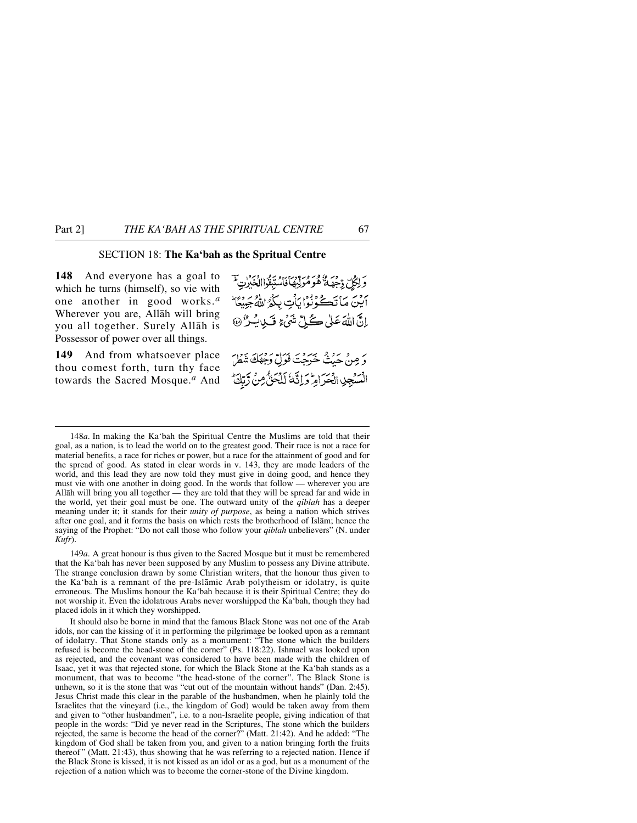# SECTION 18: **The Ka'bah as the Spritual Centre**

**148** And everyone has a goal to which he turns (himself), so vie with one another in good works.*<sup>a</sup>* Wherever you are, Allåh will bring you all together. Surely Allåh is Possessor of power over all things.

**149** And from whatsoever place thou comest forth, turn thy face towards the Sacred Mosque.*<sup>a</sup>* And وَلِكُلِّ دِّجِهَةً هُوَمُولِيهَا فَاسْتَبِقُواالْعَبْرِنِ ۖ أَيْنَ مَاتَكُوْنُوْا يَأْتِ بِكُوُ اللَّهُ جَبِيعًا إِنَّ اللَّهَ عَلَى كُلِّ شَيْءٍ قَبِلٍ يَسْئِ ﴾ دَ مِنْ حَدْثٌ خَرَجْتَ فَوَلِّ دَخِهَكَ شَطْرَ السَّجِيبِ الْحَرَامِّ وَإِنَّهُ لَلْحَقَّ مِنْ زَّبِّكَ

148*a*. In making the Ka'bah the Spiritual Centre the Muslims are told that their goal, as a nation, is to lead the world on to the greatest good. Their race is not a race for material benefits, a race for riches or power, but a race for the attainment of good and for the spread of good. As stated in clear words in v. 143, they are made leaders of the world, and this lead they are now told they must give in doing good, and hence they must vie with one another in doing good. In the words that follow — wherever you are Allåh will bring you all together — they are told that they will be spread far and wide in the world, yet their goal must be one. The outward unity of the *qiblah* has a deeper meaning under it; it stands for their *unity of purpose*, as being a nation which strives after one goal, and it forms the basis on which rests the brotherhood of Islåm; hence the saying of the Prophet: "Do not call those who follow your *qiblah* unbelievers" (N. under *Kufr*).

149*a*. A great honour is thus given to the Sacred Mosque but it must be remembered that the Ka'bah has never been supposed by any Muslim to possess any Divine attribute. The strange conclusion drawn by some Christian writers, that the honour thus given to the Ka'bah is a remnant of the pre-Islåmic Arab polytheism or idolatry, is quite erroneous. The Muslims honour the Ka'bah because it is their Spiritual Centre; they do not worship it. Even the idolatrous Arabs never worshipped the Ka'bah, though they had placed idols in it which they worshipped.

It should also be borne in mind that the famous Black Stone was not one of the Arab idols, nor can the kissing of it in performing the pilgrimage be looked upon as a remnant of idolatry. That Stone stands only as a monument: "The stone which the builders refused is become the head-stone of the corner" (Ps. 118:22). Ishmael was looked upon as rejected, and the covenant was considered to have been made with the children of Isaac, yet it was that rejected stone, for which the Black Stone at the Ka'bah stands as a monument, that was to become "the head-stone of the corner". The Black Stone is unhewn, so it is the stone that was "cut out of the mountain without hands" (Dan. 2:45). Jesus Christ made this clear in the parable of the husbandmen, when he plainly told the Israelites that the vineyard (i.e., the kingdom of God) would be taken away from them and given to "other husbandmen", i.e. to a non-Israelite people, giving indication of that people in the words: "Did ye never read in the Scriptures, The stone which the builders rejected, the same is become the head of the corner?" (Matt. 21:42). And he added: "The kingdom of God shall be taken from you, and given to a nation bringing forth the fruits thereof " (Matt. 21:43), thus showing that he was referring to a rejected nation. Hence if the Black Stone is kissed, it is not kissed as an idol or as a god, but as a monument of the rejection of a nation which was to become the corner-stone of the Divine kingdom.